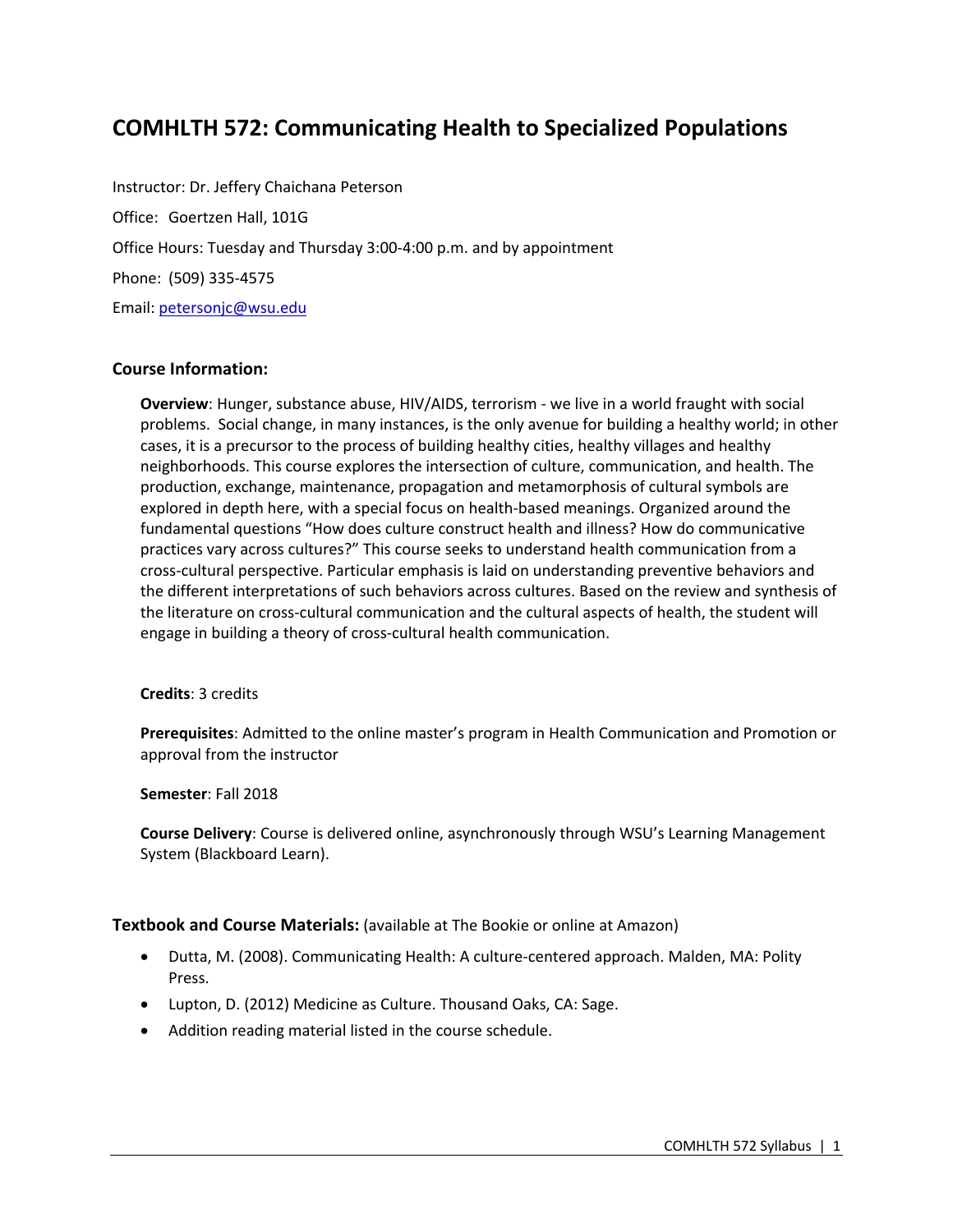# **COMHLTH 572: Communicating Health to Specialized Populations**

Instructor: Dr. Jeffery Chaichana Peterson Office: Goertzen Hall, 101G Office Hours: Tuesday and Thursday 3:00-4:00 p.m. and by appointment Phone: (509) 335-4575 Email: petersonjc@wsu.edu

## **Course Information:**

**Overview**: Hunger, substance abuse, HIV/AIDS, terrorism - we live in a world fraught with social problems. Social change, in many instances, is the only avenue for building a healthy world; in other cases, it is a precursor to the process of building healthy cities, healthy villages and healthy neighborhoods. This course explores the intersection of culture, communication, and health. The production, exchange, maintenance, propagation and metamorphosis of cultural symbols are explored in depth here, with a special focus on health-based meanings. Organized around the fundamental questions "How does culture construct health and illness? How do communicative practices vary across cultures?" This course seeks to understand health communication from a cross-cultural perspective. Particular emphasis is laid on understanding preventive behaviors and the different interpretations of such behaviors across cultures. Based on the review and synthesis of the literature on cross-cultural communication and the cultural aspects of health, the student will engage in building a theory of cross-cultural health communication.

## **Credits**: 3 credits

**Prerequisites**: Admitted to the online master's program in Health Communication and Promotion or approval from the instructor

#### **Semester**: Fall 2018

**Course Delivery**: Course is delivered online, asynchronously through WSU's Learning Management System (Blackboard Learn).

## **Textbook and Course Materials:** (available at The Bookie or online at Amazon)

- Dutta, M. (2008). Communicating Health: A culture-centered approach. Malden, MA: Polity Press.
- Lupton, D. (2012) Medicine as Culture. Thousand Oaks, CA: Sage.
- Addition reading material listed in the course schedule.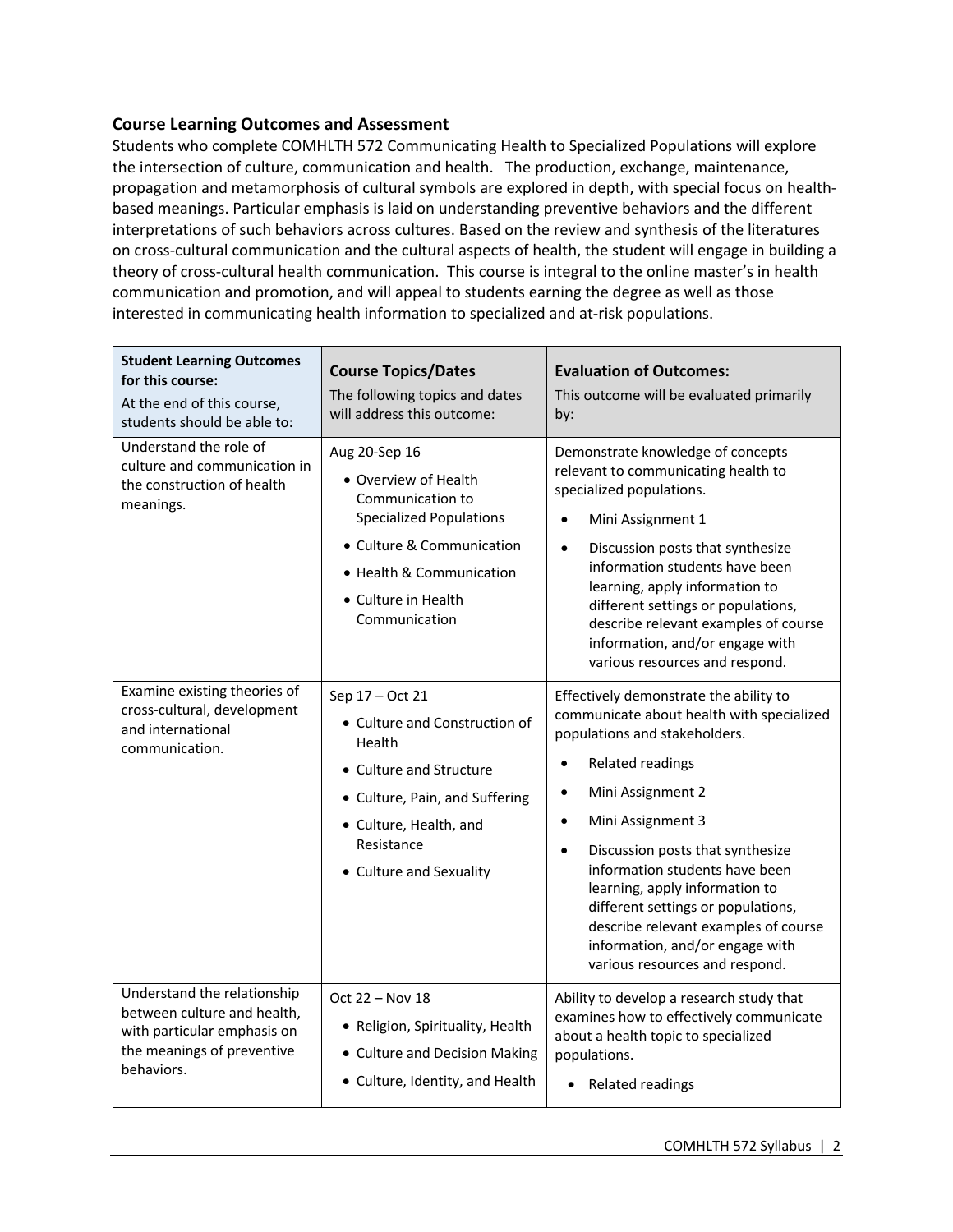## **Course Learning Outcomes and Assessment**

Students who complete COMHLTH 572 Communicating Health to Specialized Populations will explore the intersection of culture, communication and health. The production, exchange, maintenance, propagation and metamorphosis of cultural symbols are explored in depth, with special focus on healthbased meanings. Particular emphasis is laid on understanding preventive behaviors and the different interpretations of such behaviors across cultures. Based on the review and synthesis of the literatures on cross-cultural communication and the cultural aspects of health, the student will engage in building a theory of cross-cultural health communication. This course is integral to the online master's in health communication and promotion, and will appeal to students earning the degree as well as those interested in communicating health information to specialized and at-risk populations.

| <b>Student Learning Outcomes</b><br>for this course:<br>At the end of this course,<br>students should be able to:                     | <b>Course Topics/Dates</b><br>The following topics and dates<br>will address this outcome:                                                                                                   | <b>Evaluation of Outcomes:</b><br>This outcome will be evaluated primarily<br>by:                                                                                                                                                                                                                                                                                                                                                                                                                 |  |
|---------------------------------------------------------------------------------------------------------------------------------------|----------------------------------------------------------------------------------------------------------------------------------------------------------------------------------------------|---------------------------------------------------------------------------------------------------------------------------------------------------------------------------------------------------------------------------------------------------------------------------------------------------------------------------------------------------------------------------------------------------------------------------------------------------------------------------------------------------|--|
| Understand the role of<br>culture and communication in<br>the construction of health<br>meanings.                                     | Aug 20-Sep 16<br>• Overview of Health<br>Communication to<br><b>Specialized Populations</b><br>• Culture & Communication<br>• Health & Communication<br>• Culture in Health<br>Communication | Demonstrate knowledge of concepts<br>relevant to communicating health to<br>specialized populations.<br>Mini Assignment 1<br>$\bullet$<br>Discussion posts that synthesize<br>$\bullet$<br>information students have been<br>learning, apply information to<br>different settings or populations,<br>describe relevant examples of course<br>information, and/or engage with<br>various resources and respond.                                                                                    |  |
| Examine existing theories of<br>cross-cultural, development<br>and international<br>communication.                                    | Sep 17 - Oct 21<br>• Culture and Construction of<br>Health<br>• Culture and Structure<br>• Culture, Pain, and Suffering<br>• Culture, Health, and<br>Resistance<br>• Culture and Sexuality   | Effectively demonstrate the ability to<br>communicate about health with specialized<br>populations and stakeholders.<br>Related readings<br>$\bullet$<br>Mini Assignment 2<br>$\bullet$<br>Mini Assignment 3<br>$\bullet$<br>Discussion posts that synthesize<br>$\bullet$<br>information students have been<br>learning, apply information to<br>different settings or populations,<br>describe relevant examples of course<br>information, and/or engage with<br>various resources and respond. |  |
| Understand the relationship<br>between culture and health,<br>with particular emphasis on<br>the meanings of preventive<br>behaviors. | Oct 22 - Nov 18<br>• Religion, Spirituality, Health<br>• Culture and Decision Making<br>• Culture, Identity, and Health                                                                      | Ability to develop a research study that<br>examines how to effectively communicate<br>about a health topic to specialized<br>populations.<br>• Related readings                                                                                                                                                                                                                                                                                                                                  |  |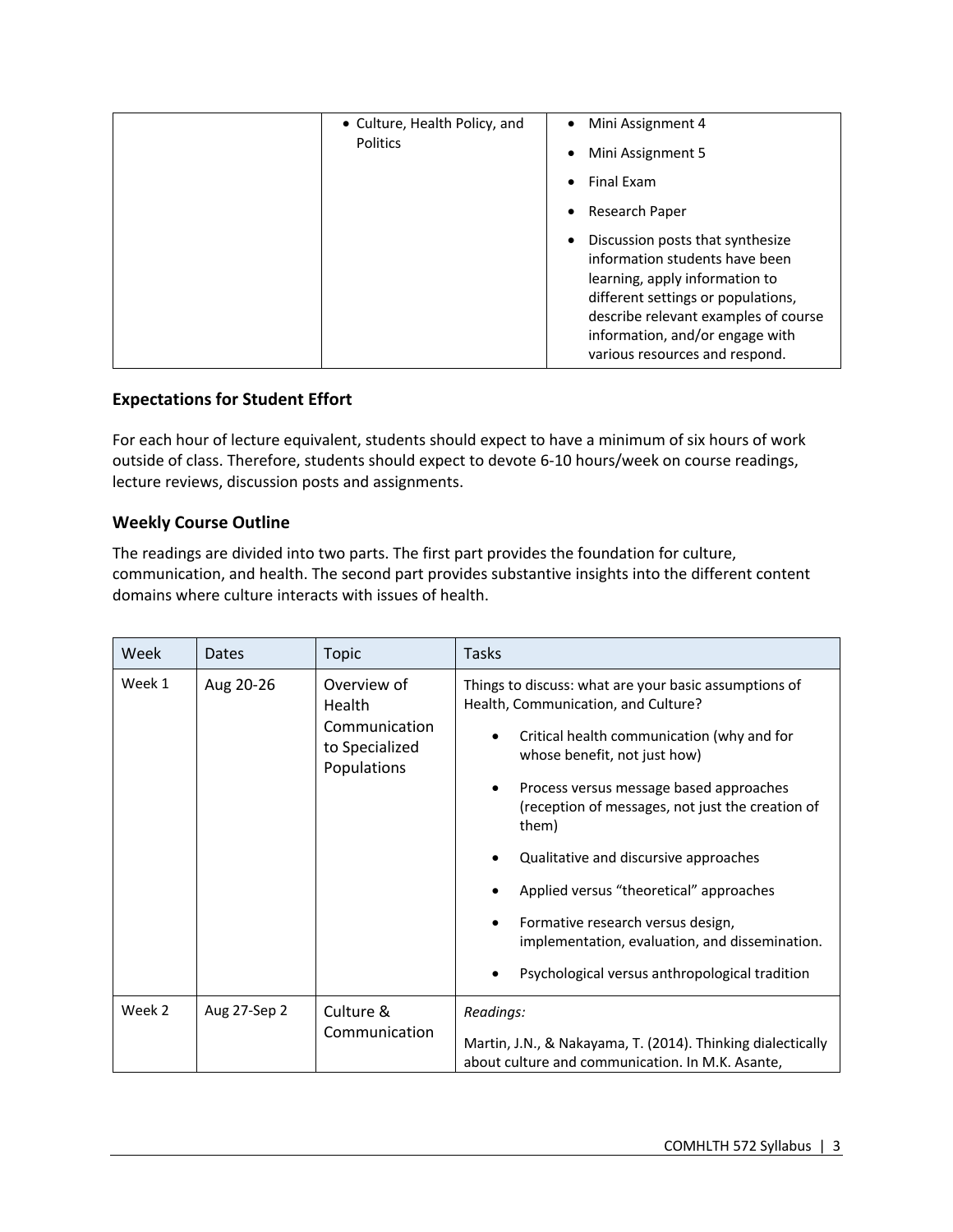|  | • Culture, Health Policy, and<br><b>Politics</b> | Mini Assignment 4<br>$\bullet$                                                                                                                                                                                                                                       |
|--|--------------------------------------------------|----------------------------------------------------------------------------------------------------------------------------------------------------------------------------------------------------------------------------------------------------------------------|
|  |                                                  | Mini Assignment 5<br>٠                                                                                                                                                                                                                                               |
|  |                                                  | Final Exam<br>$\bullet$                                                                                                                                                                                                                                              |
|  |                                                  | Research Paper<br>$\bullet$                                                                                                                                                                                                                                          |
|  |                                                  | Discussion posts that synthesize<br>$\bullet$<br>information students have been<br>learning, apply information to<br>different settings or populations,<br>describe relevant examples of course<br>information, and/or engage with<br>various resources and respond. |

## **Expectations for Student Effort**

For each hour of lecture equivalent, students should expect to have a minimum of six hours of work outside of class. Therefore, students should expect to devote 6-10 hours/week on course readings, lecture reviews, discussion posts and assignments.

# **Weekly Course Outline**

The readings are divided into two parts. The first part provides the foundation for culture, communication, and health. The second part provides substantive insights into the different content domains where culture interacts with issues of health.

| Week   | <b>Dates</b> | <b>Topic</b>                                                            | Tasks                                                                                                                                                                                                                                                                                                                                                                                                                                                                                                                |
|--------|--------------|-------------------------------------------------------------------------|----------------------------------------------------------------------------------------------------------------------------------------------------------------------------------------------------------------------------------------------------------------------------------------------------------------------------------------------------------------------------------------------------------------------------------------------------------------------------------------------------------------------|
| Week 1 | Aug 20-26    | Overview of<br>Health<br>Communication<br>to Specialized<br>Populations | Things to discuss: what are your basic assumptions of<br>Health, Communication, and Culture?<br>Critical health communication (why and for<br>whose benefit, not just how)<br>Process versus message based approaches<br>(reception of messages, not just the creation of<br>them)<br>Qualitative and discursive approaches<br>Applied versus "theoretical" approaches<br>Formative research versus design,<br>٠<br>implementation, evaluation, and dissemination.<br>Psychological versus anthropological tradition |
| Week 2 | Aug 27-Sep 2 | Culture &<br>Communication                                              | Readings:<br>Martin, J.N., & Nakayama, T. (2014). Thinking dialectically<br>about culture and communication. In M.K. Asante,                                                                                                                                                                                                                                                                                                                                                                                         |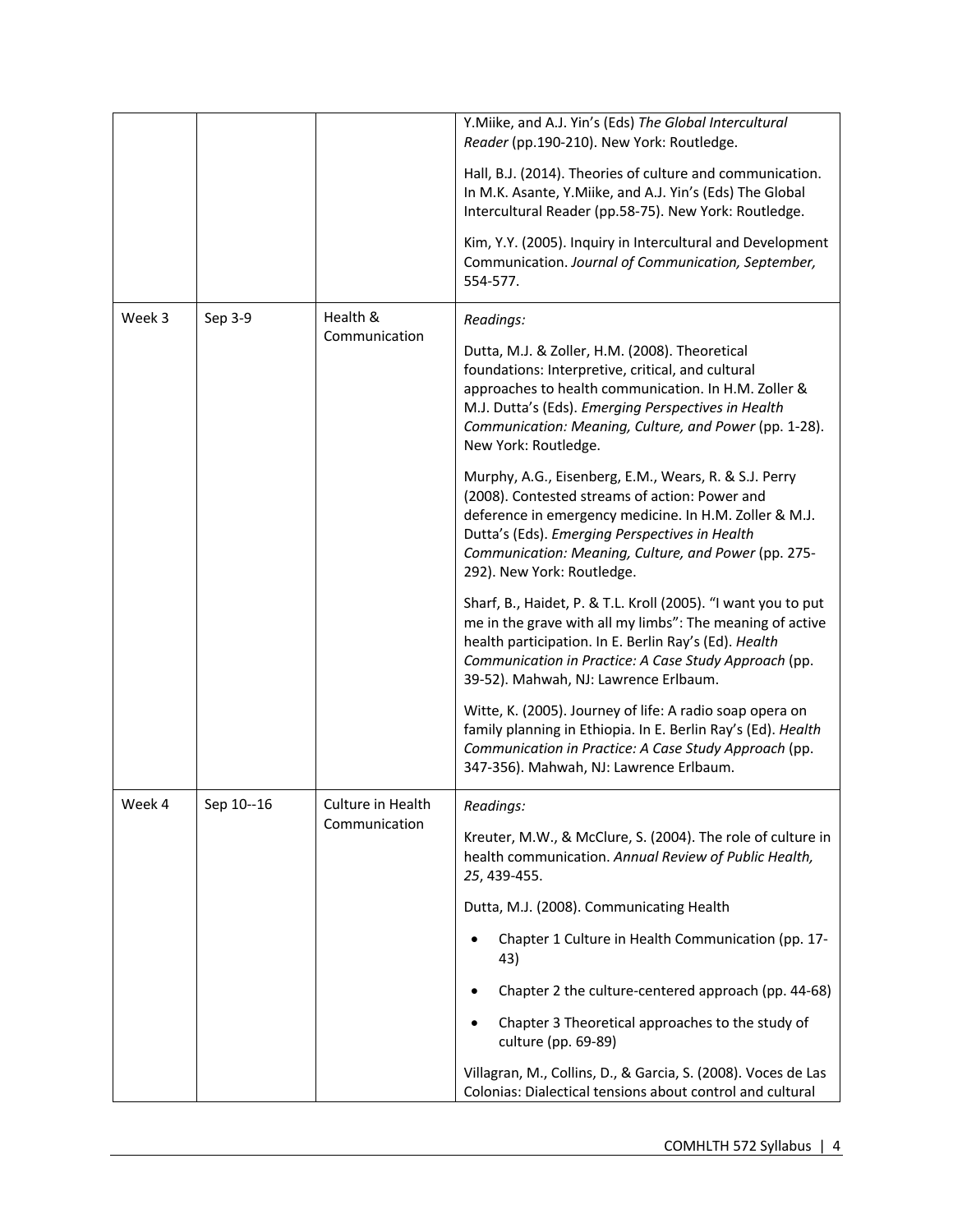|        |            |                   | Y.Miike, and A.J. Yin's (Eds) The Global Intercultural<br>Reader (pp.190-210). New York: Routledge.                                                                                                                                                                                                       |
|--------|------------|-------------------|-----------------------------------------------------------------------------------------------------------------------------------------------------------------------------------------------------------------------------------------------------------------------------------------------------------|
|        |            |                   | Hall, B.J. (2014). Theories of culture and communication.<br>In M.K. Asante, Y.Miike, and A.J. Yin's (Eds) The Global<br>Intercultural Reader (pp.58-75). New York: Routledge.                                                                                                                            |
|        |            |                   | Kim, Y.Y. (2005). Inquiry in Intercultural and Development<br>Communication. Journal of Communication, September,<br>554-577.                                                                                                                                                                             |
| Week 3 | Sep 3-9    | Health &          | Readings:                                                                                                                                                                                                                                                                                                 |
|        |            | Communication     | Dutta, M.J. & Zoller, H.M. (2008). Theoretical<br>foundations: Interpretive, critical, and cultural<br>approaches to health communication. In H.M. Zoller &<br>M.J. Dutta's (Eds). Emerging Perspectives in Health<br>Communication: Meaning, Culture, and Power (pp. 1-28).<br>New York: Routledge.      |
|        |            |                   | Murphy, A.G., Eisenberg, E.M., Wears, R. & S.J. Perry<br>(2008). Contested streams of action: Power and<br>deference in emergency medicine. In H.M. Zoller & M.J.<br>Dutta's (Eds). Emerging Perspectives in Health<br>Communication: Meaning, Culture, and Power (pp. 275-<br>292). New York: Routledge. |
|        |            |                   | Sharf, B., Haidet, P. & T.L. Kroll (2005). "I want you to put<br>me in the grave with all my limbs": The meaning of active<br>health participation. In E. Berlin Ray's (Ed). Health<br>Communication in Practice: A Case Study Approach (pp.<br>39-52). Mahwah, NJ: Lawrence Erlbaum.                     |
|        |            |                   | Witte, K. (2005). Journey of life: A radio soap opera on<br>family planning in Ethiopia. In E. Berlin Ray's (Ed). Health<br>Communication in Practice: A Case Study Approach (pp.<br>347-356). Mahwah, NJ: Lawrence Erlbaum.                                                                              |
| Week 4 | Sep 10--16 | Culture in Health | Readings:                                                                                                                                                                                                                                                                                                 |
|        |            | Communication     | Kreuter, M.W., & McClure, S. (2004). The role of culture in<br>health communication. Annual Review of Public Health,<br>25, 439-455.                                                                                                                                                                      |
|        |            |                   | Dutta, M.J. (2008). Communicating Health                                                                                                                                                                                                                                                                  |
|        |            |                   | Chapter 1 Culture in Health Communication (pp. 17-<br>43)                                                                                                                                                                                                                                                 |
|        |            |                   | Chapter 2 the culture-centered approach (pp. 44-68)<br>٠                                                                                                                                                                                                                                                  |
|        |            |                   | Chapter 3 Theoretical approaches to the study of<br>culture (pp. 69-89)                                                                                                                                                                                                                                   |
|        |            |                   | Villagran, M., Collins, D., & Garcia, S. (2008). Voces de Las<br>Colonias: Dialectical tensions about control and cultural                                                                                                                                                                                |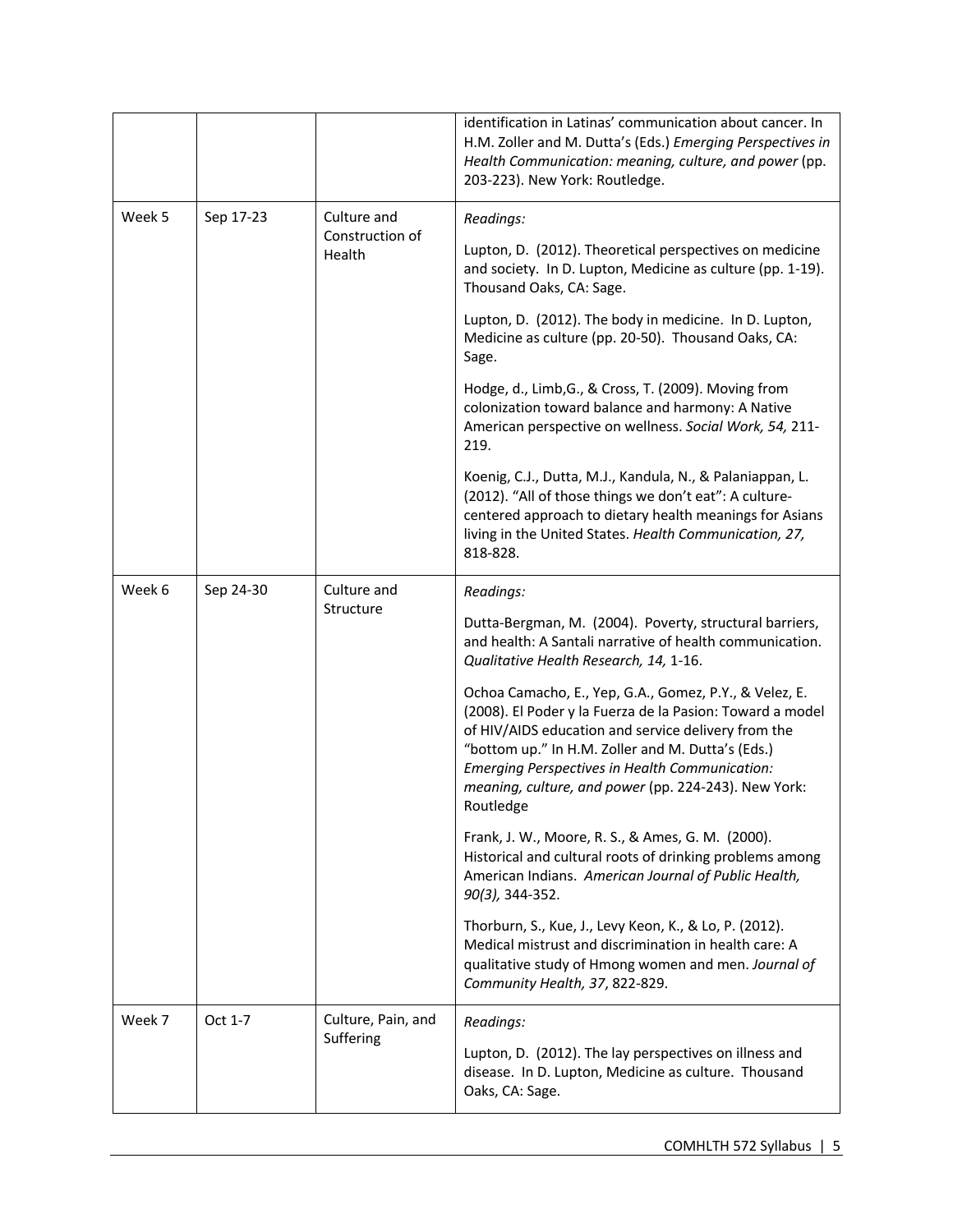|           |                                             |                    | identification in Latinas' communication about cancer. In<br>H.M. Zoller and M. Dutta's (Eds.) Emerging Perspectives in<br>Health Communication: meaning, culture, and power (pp.<br>203-223). New York: Routledge.                                                                                                                                    |
|-----------|---------------------------------------------|--------------------|--------------------------------------------------------------------------------------------------------------------------------------------------------------------------------------------------------------------------------------------------------------------------------------------------------------------------------------------------------|
| Week 5    | Culture and<br>Sep 17-23<br>Construction of |                    | Readings:                                                                                                                                                                                                                                                                                                                                              |
|           |                                             | Health             | Lupton, D. (2012). Theoretical perspectives on medicine<br>and society. In D. Lupton, Medicine as culture (pp. 1-19).<br>Thousand Oaks, CA: Sage.                                                                                                                                                                                                      |
|           |                                             |                    | Lupton, D. (2012). The body in medicine. In D. Lupton,<br>Medicine as culture (pp. 20-50). Thousand Oaks, CA:<br>Sage.                                                                                                                                                                                                                                 |
|           |                                             |                    | Hodge, d., Limb, G., & Cross, T. (2009). Moving from<br>colonization toward balance and harmony: A Native<br>American perspective on wellness. Social Work, 54, 211-<br>219.                                                                                                                                                                           |
|           |                                             |                    | Koenig, C.J., Dutta, M.J., Kandula, N., & Palaniappan, L.<br>(2012). "All of those things we don't eat": A culture-<br>centered approach to dietary health meanings for Asians<br>living in the United States. Health Communication, 27,<br>818-828.                                                                                                   |
| Week 6    | Sep 24-30                                   | Culture and        | Readings:                                                                                                                                                                                                                                                                                                                                              |
| Structure |                                             |                    | Dutta-Bergman, M. (2004). Poverty, structural barriers,<br>and health: A Santali narrative of health communication.<br>Qualitative Health Research, 14, 1-16.                                                                                                                                                                                          |
|           |                                             |                    | Ochoa Camacho, E., Yep, G.A., Gomez, P.Y., & Velez, E.<br>(2008). El Poder y la Fuerza de la Pasion: Toward a model<br>of HIV/AIDS education and service delivery from the<br>"bottom up." In H.M. Zoller and M. Dutta's (Eds.)<br>Emerging Perspectives in Health Communication:<br>meaning, culture, and power (pp. 224-243). New York:<br>Routledge |
|           |                                             |                    | Frank, J. W., Moore, R. S., & Ames, G. M. (2000).<br>Historical and cultural roots of drinking problems among<br>American Indians. American Journal of Public Health,<br>90(3), 344-352.                                                                                                                                                               |
|           |                                             |                    | Thorburn, S., Kue, J., Levy Keon, K., & Lo, P. (2012).<br>Medical mistrust and discrimination in health care: A<br>qualitative study of Hmong women and men. Journal of<br>Community Health, 37, 822-829.                                                                                                                                              |
| Week 7    | Oct 1-7                                     | Culture, Pain, and | Readings:                                                                                                                                                                                                                                                                                                                                              |
|           |                                             | Suffering          | Lupton, D. (2012). The lay perspectives on illness and<br>disease. In D. Lupton, Medicine as culture. Thousand<br>Oaks, CA: Sage.                                                                                                                                                                                                                      |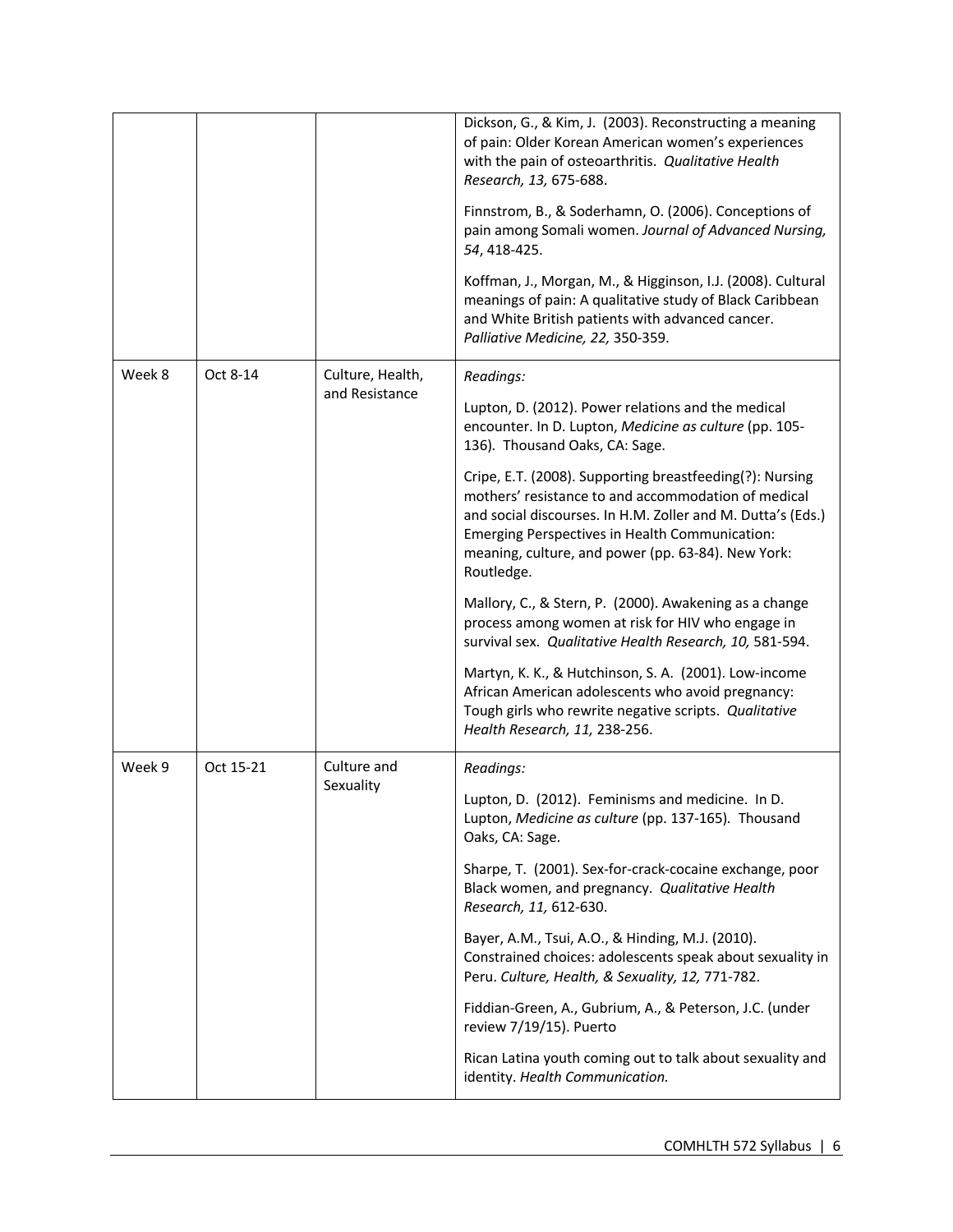|        |           |                                    | Dickson, G., & Kim, J. (2003). Reconstructing a meaning<br>of pain: Older Korean American women's experiences<br>with the pain of osteoarthritis. Qualitative Health<br>Research, 13, 675-688.<br>Finnstrom, B., & Soderhamn, O. (2006). Conceptions of<br>pain among Somali women. Journal of Advanced Nursing,<br>54, 418-425.<br>Koffman, J., Morgan, M., & Higginson, I.J. (2008). Cultural<br>meanings of pain: A qualitative study of Black Caribbean<br>and White British patients with advanced cancer.<br>Palliative Medicine, 22, 350-359. |
|--------|-----------|------------------------------------|------------------------------------------------------------------------------------------------------------------------------------------------------------------------------------------------------------------------------------------------------------------------------------------------------------------------------------------------------------------------------------------------------------------------------------------------------------------------------------------------------------------------------------------------------|
| Week 8 | Oct 8-14  | Culture, Health,<br>and Resistance | Readings:<br>Lupton, D. (2012). Power relations and the medical<br>encounter. In D. Lupton, Medicine as culture (pp. 105-<br>136). Thousand Oaks, CA: Sage.                                                                                                                                                                                                                                                                                                                                                                                          |
|        |           |                                    | Cripe, E.T. (2008). Supporting breastfeeding(?): Nursing<br>mothers' resistance to and accommodation of medical<br>and social discourses. In H.M. Zoller and M. Dutta's (Eds.)<br>Emerging Perspectives in Health Communication:<br>meaning, culture, and power (pp. 63-84). New York:<br>Routledge.                                                                                                                                                                                                                                                 |
|        |           |                                    | Mallory, C., & Stern, P. (2000). Awakening as a change<br>process among women at risk for HIV who engage in<br>survival sex. Qualitative Health Research, 10, 581-594.                                                                                                                                                                                                                                                                                                                                                                               |
|        |           |                                    | Martyn, K. K., & Hutchinson, S. A. (2001). Low-income<br>African American adolescents who avoid pregnancy:<br>Tough girls who rewrite negative scripts. Qualitative<br>Health Research, 11, 238-256.                                                                                                                                                                                                                                                                                                                                                 |
| Week 9 | Oct 15-21 | Culture and                        | Readings:                                                                                                                                                                                                                                                                                                                                                                                                                                                                                                                                            |
|        |           | Sexuality                          | Lupton, D. (2012). Feminisms and medicine. In D.<br>Lupton, Medicine as culture (pp. 137-165). Thousand<br>Oaks, CA: Sage.                                                                                                                                                                                                                                                                                                                                                                                                                           |
|        |           |                                    | Sharpe, T. (2001). Sex-for-crack-cocaine exchange, poor<br>Black women, and pregnancy. Qualitative Health<br>Research, 11, 612-630.                                                                                                                                                                                                                                                                                                                                                                                                                  |
|        |           |                                    | Bayer, A.M., Tsui, A.O., & Hinding, M.J. (2010).<br>Constrained choices: adolescents speak about sexuality in<br>Peru. Culture, Health, & Sexuality, 12, 771-782.                                                                                                                                                                                                                                                                                                                                                                                    |
|        |           |                                    | Fiddian-Green, A., Gubrium, A., & Peterson, J.C. (under<br>review 7/19/15). Puerto                                                                                                                                                                                                                                                                                                                                                                                                                                                                   |
|        |           |                                    | Rican Latina youth coming out to talk about sexuality and<br>identity. Health Communication.                                                                                                                                                                                                                                                                                                                                                                                                                                                         |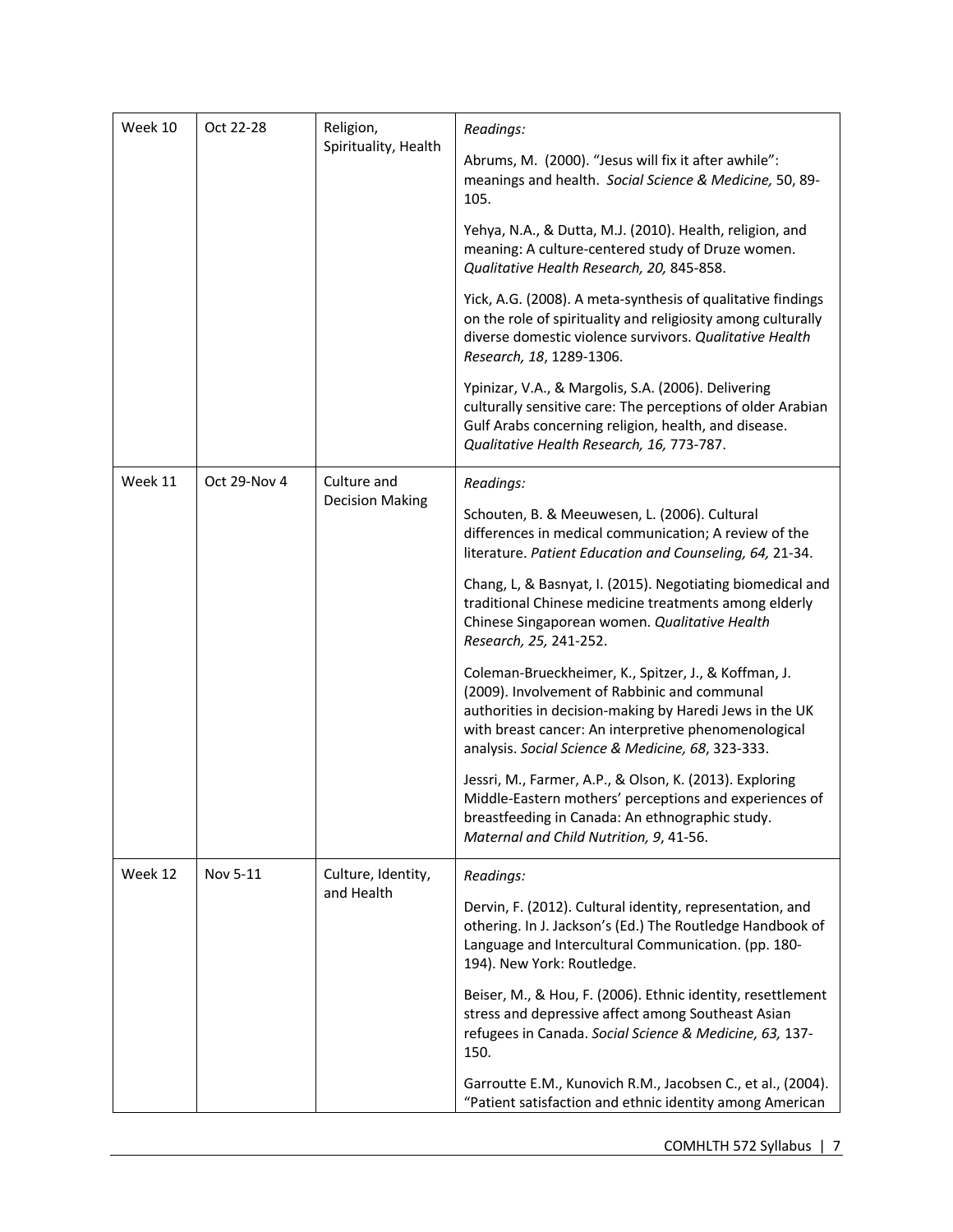| Week 10 | Oct 22-28              | Religion,            | Readings:                                                                                                                                                                                                                                                                    |  |
|---------|------------------------|----------------------|------------------------------------------------------------------------------------------------------------------------------------------------------------------------------------------------------------------------------------------------------------------------------|--|
|         |                        | Spirituality, Health | Abrums, M. (2000). "Jesus will fix it after awhile":<br>meanings and health. Social Science & Medicine, 50, 89-<br>105.                                                                                                                                                      |  |
|         |                        |                      | Yehya, N.A., & Dutta, M.J. (2010). Health, religion, and<br>meaning: A culture-centered study of Druze women.<br>Qualitative Health Research, 20, 845-858.                                                                                                                   |  |
|         |                        |                      | Yick, A.G. (2008). A meta-synthesis of qualitative findings<br>on the role of spirituality and religiosity among culturally<br>diverse domestic violence survivors. Qualitative Health<br>Research, 18, 1289-1306.                                                           |  |
|         |                        |                      | Ypinizar, V.A., & Margolis, S.A. (2006). Delivering<br>culturally sensitive care: The perceptions of older Arabian<br>Gulf Arabs concerning religion, health, and disease.<br>Qualitative Health Research, 16, 773-787.                                                      |  |
| Week 11 | Oct 29-Nov 4           | Culture and          | Readings:                                                                                                                                                                                                                                                                    |  |
|         | <b>Decision Making</b> |                      | Schouten, B. & Meeuwesen, L. (2006). Cultural<br>differences in medical communication; A review of the<br>literature. Patient Education and Counseling, 64, 21-34.                                                                                                           |  |
|         |                        |                      | Chang, L, & Basnyat, I. (2015). Negotiating biomedical and<br>traditional Chinese medicine treatments among elderly<br>Chinese Singaporean women. Qualitative Health<br>Research, 25, 241-252.                                                                               |  |
|         |                        |                      | Coleman-Brueckheimer, K., Spitzer, J., & Koffman, J.<br>(2009). Involvement of Rabbinic and communal<br>authorities in decision-making by Haredi Jews in the UK<br>with breast cancer: An interpretive phenomenological<br>analysis. Social Science & Medicine, 68, 323-333. |  |
|         |                        |                      | Jessri, M., Farmer, A.P., & Olson, K. (2013). Exploring<br>Middle-Eastern mothers' perceptions and experiences of<br>breastfeeding in Canada: An ethnographic study.<br>Maternal and Child Nutrition, 9, 41-56.                                                              |  |
| Week 12 | Nov 5-11               | Culture, Identity,   | Readings:                                                                                                                                                                                                                                                                    |  |
|         | and Health             |                      | Dervin, F. (2012). Cultural identity, representation, and<br>othering. In J. Jackson's (Ed.) The Routledge Handbook of<br>Language and Intercultural Communication. (pp. 180-<br>194). New York: Routledge.                                                                  |  |
|         |                        |                      | Beiser, M., & Hou, F. (2006). Ethnic identity, resettlement<br>stress and depressive affect among Southeast Asian<br>refugees in Canada. Social Science & Medicine, 63, 137-<br>150.                                                                                         |  |
|         |                        |                      | Garroutte E.M., Kunovich R.M., Jacobsen C., et al., (2004).<br>"Patient satisfaction and ethnic identity among American                                                                                                                                                      |  |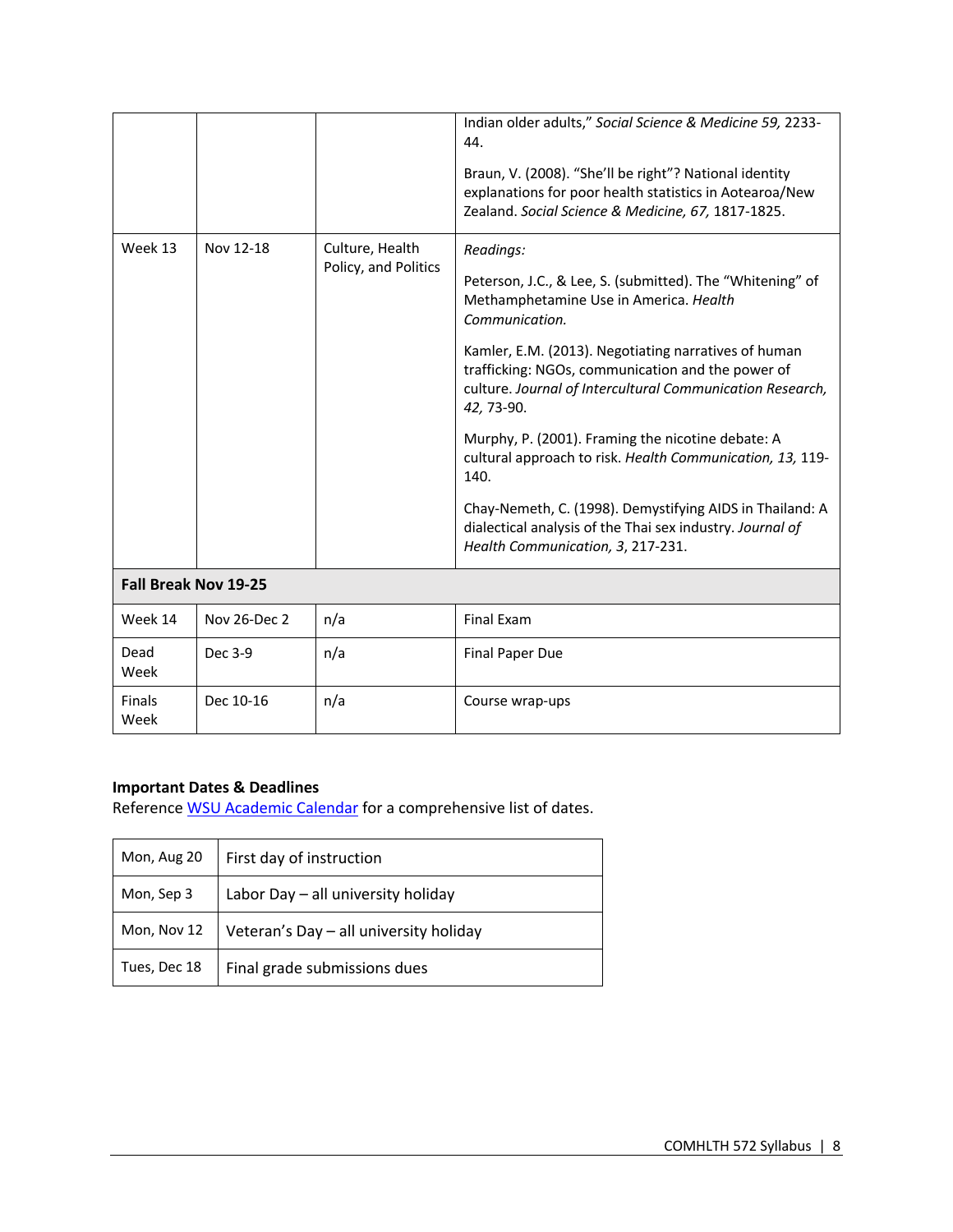| Week 13               | Nov 12-18    | Culture, Health      | Indian older adults," Social Science & Medicine 59, 2233-<br>44.<br>Braun, V. (2008). "She'll be right"? National identity<br>explanations for poor health statistics in Aotearoa/New<br>Zealand. Social Science & Medicine, 67, 1817-1825.<br>Readings: |
|-----------------------|--------------|----------------------|----------------------------------------------------------------------------------------------------------------------------------------------------------------------------------------------------------------------------------------------------------|
|                       |              | Policy, and Politics | Peterson, J.C., & Lee, S. (submitted). The "Whitening" of<br>Methamphetamine Use in America. Health<br>Communication.                                                                                                                                    |
|                       |              |                      | Kamler, E.M. (2013). Negotiating narratives of human<br>trafficking: NGOs, communication and the power of<br>culture. Journal of Intercultural Communication Research,<br>42, 73-90.                                                                     |
|                       |              |                      | Murphy, P. (2001). Framing the nicotine debate: A<br>cultural approach to risk. Health Communication, 13, 119-<br>140.                                                                                                                                   |
|                       |              |                      | Chay-Nemeth, C. (1998). Demystifying AIDS in Thailand: A<br>dialectical analysis of the Thai sex industry. Journal of<br>Health Communication, 3, 217-231.                                                                                               |
| Fall Break Nov 19-25  |              |                      |                                                                                                                                                                                                                                                          |
| Week 14               | Nov 26-Dec 2 | n/a                  | <b>Final Exam</b>                                                                                                                                                                                                                                        |
| Dead<br>Week          | Dec 3-9      | n/a                  | <b>Final Paper Due</b>                                                                                                                                                                                                                                   |
| <b>Finals</b><br>Week | Dec 10-16    | n/a                  | Course wrap-ups                                                                                                                                                                                                                                          |

# **Important Dates & Deadlines**

Reference WSU Academic Calendar for a comprehensive list of dates.

| Mon, Aug 20  | First day of instruction               |
|--------------|----------------------------------------|
| Mon, Sep 3   | Labor Day - all university holiday     |
| Mon, Nov 12  | Veteran's Day - all university holiday |
| Tues, Dec 18 | Final grade submissions dues           |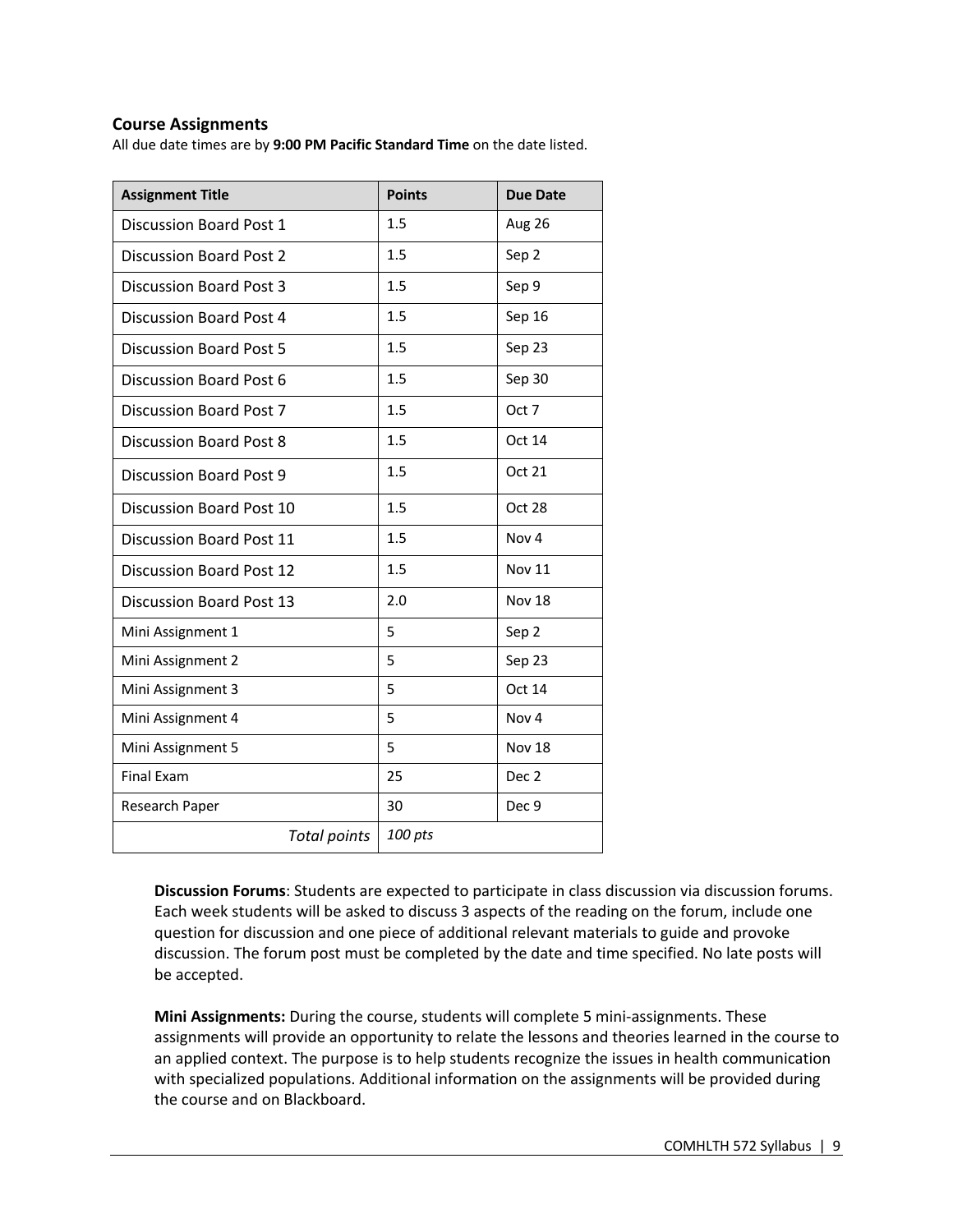## **Course Assignments**

All due date times are by **9:00 PM Pacific Standard Time** on the date listed.

| <b>Assignment Title</b>         | <b>Points</b> | <b>Due Date</b>  |
|---------------------------------|---------------|------------------|
| Discussion Board Post 1         | 1.5           | Aug 26           |
| <b>Discussion Board Post 2</b>  | 1.5           | Sep 2            |
| <b>Discussion Board Post 3</b>  | 1.5           | Sep 9            |
| Discussion Board Post 4         | 1.5           | Sep 16           |
| <b>Discussion Board Post 5</b>  | 1.5           | Sep 23           |
| Discussion Board Post 6         | 1.5           | Sep 30           |
| <b>Discussion Board Post 7</b>  | 1.5           | Oct 7            |
| <b>Discussion Board Post 8</b>  | 1.5           | Oct 14           |
| Discussion Board Post 9         | 1.5           | Oct 21           |
| Discussion Board Post 10        | 1.5           | Oct 28           |
| <b>Discussion Board Post 11</b> | 1.5           | Nov <sub>4</sub> |
| Discussion Board Post 12        | 1.5           | <b>Nov 11</b>    |
| <b>Discussion Board Post 13</b> | 2.0           | <b>Nov 18</b>    |
| Mini Assignment 1               | 5             | Sep 2            |
| Mini Assignment 2               | 5             | Sep 23           |
| Mini Assignment 3               | 5             | Oct 14           |
| Mini Assignment 4               | 5             | Nov <sub>4</sub> |
| Mini Assignment 5               | 5             | Nov 18           |
| <b>Final Exam</b>               | 25            | Dec <sub>2</sub> |
| Research Paper                  | 30            | Dec 9            |
| <b>Total points</b>             | 100 pts       |                  |

**Discussion Forums**: Students are expected to participate in class discussion via discussion forums. Each week students will be asked to discuss 3 aspects of the reading on the forum, include one question for discussion and one piece of additional relevant materials to guide and provoke discussion. The forum post must be completed by the date and time specified. No late posts will be accepted.

**Mini Assignments:** During the course, students will complete 5 mini-assignments. These assignments will provide an opportunity to relate the lessons and theories learned in the course to an applied context. The purpose is to help students recognize the issues in health communication with specialized populations. Additional information on the assignments will be provided during the course and on Blackboard.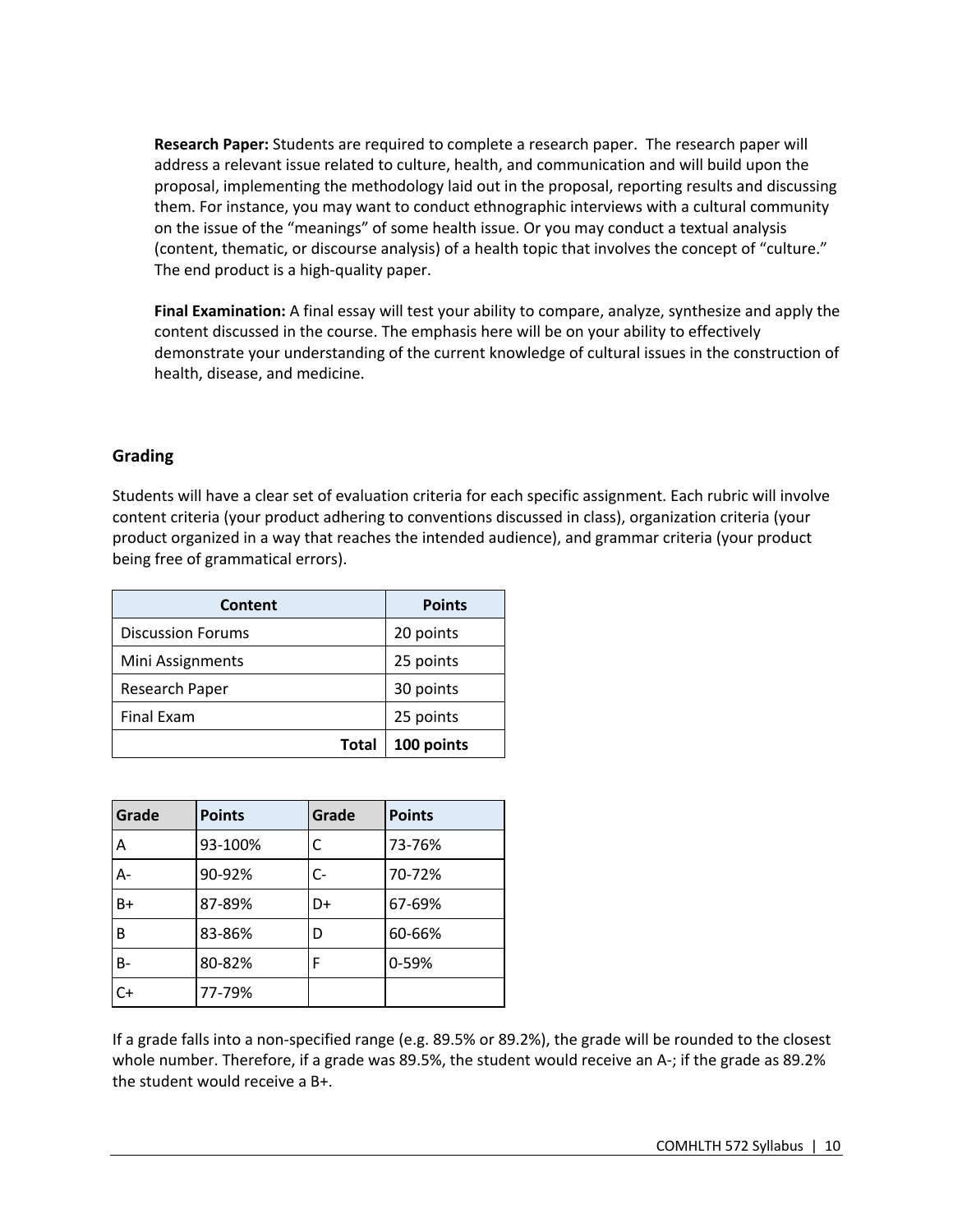**Research Paper:** Students are required to complete a research paper. The research paper will address a relevant issue related to culture, health, and communication and will build upon the proposal, implementing the methodology laid out in the proposal, reporting results and discussing them. For instance, you may want to conduct ethnographic interviews with a cultural community on the issue of the "meanings" of some health issue. Or you may conduct a textual analysis (content, thematic, or discourse analysis) of a health topic that involves the concept of "culture." The end product is a high-quality paper.

**Final Examination:** A final essay will test your ability to compare, analyze, synthesize and apply the content discussed in the course. The emphasis here will be on your ability to effectively demonstrate your understanding of the current knowledge of cultural issues in the construction of health, disease, and medicine.

## **Grading**

Students will have a clear set of evaluation criteria for each specific assignment. Each rubric will involve content criteria (your product adhering to conventions discussed in class), organization criteria (your product organized in a way that reaches the intended audience), and grammar criteria (your product being free of grammatical errors).

| Content                  | <b>Points</b> |
|--------------------------|---------------|
| <b>Discussion Forums</b> | 20 points     |
| Mini Assignments         | 25 points     |
| Research Paper           | 30 points     |
| <b>Final Exam</b>        | 25 points     |
| <b>Total</b>             | 100 points    |

| Grade | <b>Points</b> | Grade | <b>Points</b> |
|-------|---------------|-------|---------------|
| Α     | 93-100%       |       | 73-76%        |
| A-    | 90-92%        | $C -$ | 70-72%        |
| $B+$  | 87-89%        | D+    | 67-69%        |
| B     | 83-86%        | D     | 60-66%        |
| B-    | 80-82%        | F     | 0-59%         |
| $C+$  | 77-79%        |       |               |

If a grade falls into a non-specified range (e.g. 89.5% or 89.2%), the grade will be rounded to the closest whole number. Therefore, if a grade was 89.5%, the student would receive an A-; if the grade as 89.2% the student would receive a B+.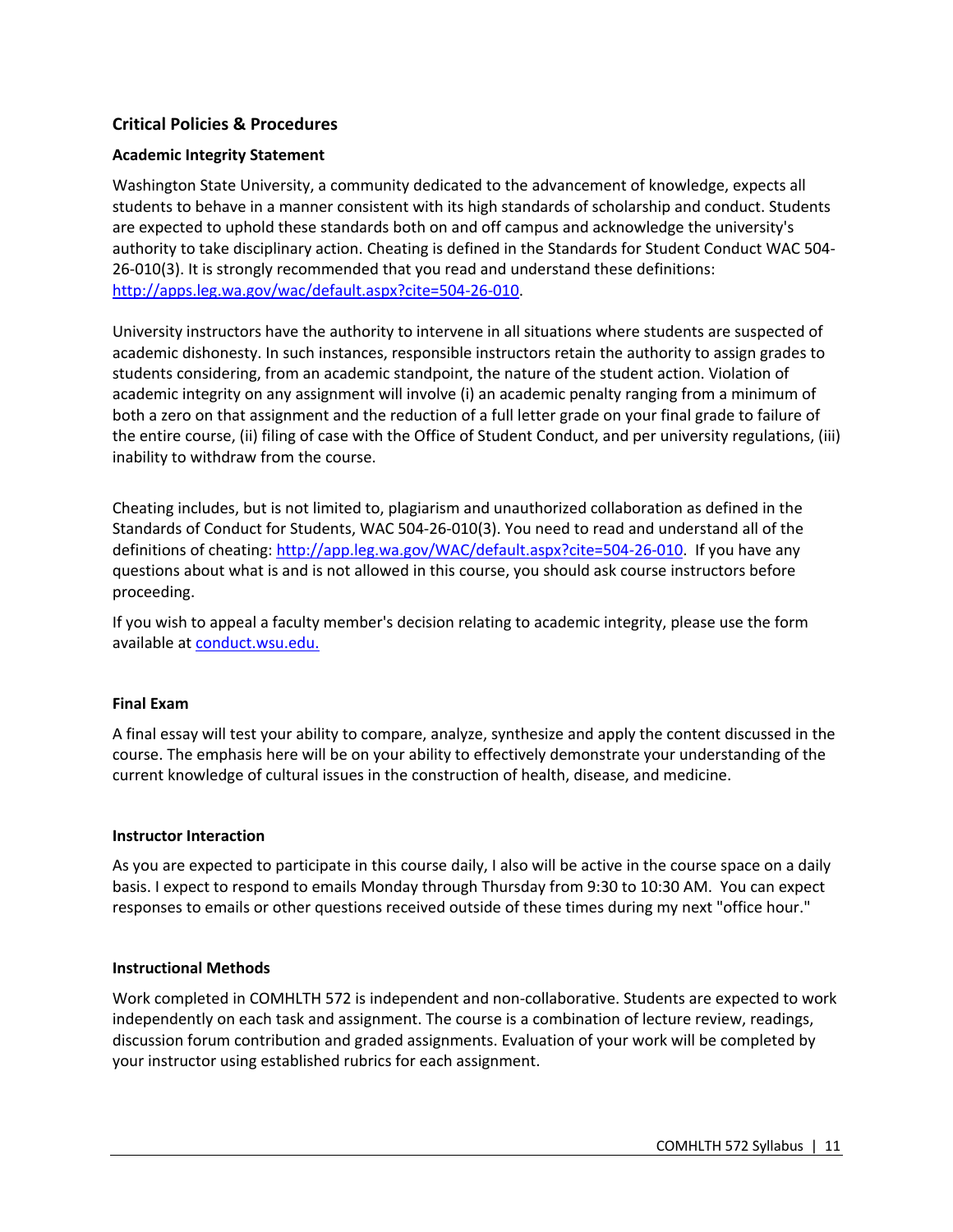## **Critical Policies & Procedures**

## **Academic Integrity Statement**

Washington State University, a community dedicated to the advancement of knowledge, expects all students to behave in a manner consistent with its high standards of scholarship and conduct. Students are expected to uphold these standards both on and off campus and acknowledge the university's authority to take disciplinary action. Cheating is defined in the Standards for Student Conduct WAC 504- 26-010(3). It is strongly recommended that you read and understand these definitions: http://apps.leg.wa.gov/wac/default.aspx?cite=504-26-010.

University instructors have the authority to intervene in all situations where students are suspected of academic dishonesty. In such instances, responsible instructors retain the authority to assign grades to students considering, from an academic standpoint, the nature of the student action. Violation of academic integrity on any assignment will involve (i) an academic penalty ranging from a minimum of both a zero on that assignment and the reduction of a full letter grade on your final grade to failure of the entire course, (ii) filing of case with the Office of Student Conduct, and per university regulations, (iii) inability to withdraw from the course.

Cheating includes, but is not limited to, plagiarism and unauthorized collaboration as defined in the Standards of Conduct for Students, WAC 504-26-010(3). You need to read and understand all of the definitions of cheating: http://app.leg.wa.gov/WAC/default.aspx?cite=504-26-010. If you have any questions about what is and is not allowed in this course, you should ask course instructors before proceeding.

If you wish to appeal a faculty member's decision relating to academic integrity, please use the form available at conduct.wsu.edu.

## **Final Exam**

A final essay will test your ability to compare, analyze, synthesize and apply the content discussed in the course. The emphasis here will be on your ability to effectively demonstrate your understanding of the current knowledge of cultural issues in the construction of health, disease, and medicine.

#### **Instructor Interaction**

As you are expected to participate in this course daily, I also will be active in the course space on a daily basis. I expect to respond to emails Monday through Thursday from 9:30 to 10:30 AM. You can expect responses to emails or other questions received outside of these times during my next "office hour."

#### **Instructional Methods**

Work completed in COMHLTH 572 is independent and non-collaborative. Students are expected to work independently on each task and assignment. The course is a combination of lecture review, readings, discussion forum contribution and graded assignments. Evaluation of your work will be completed by your instructor using established rubrics for each assignment.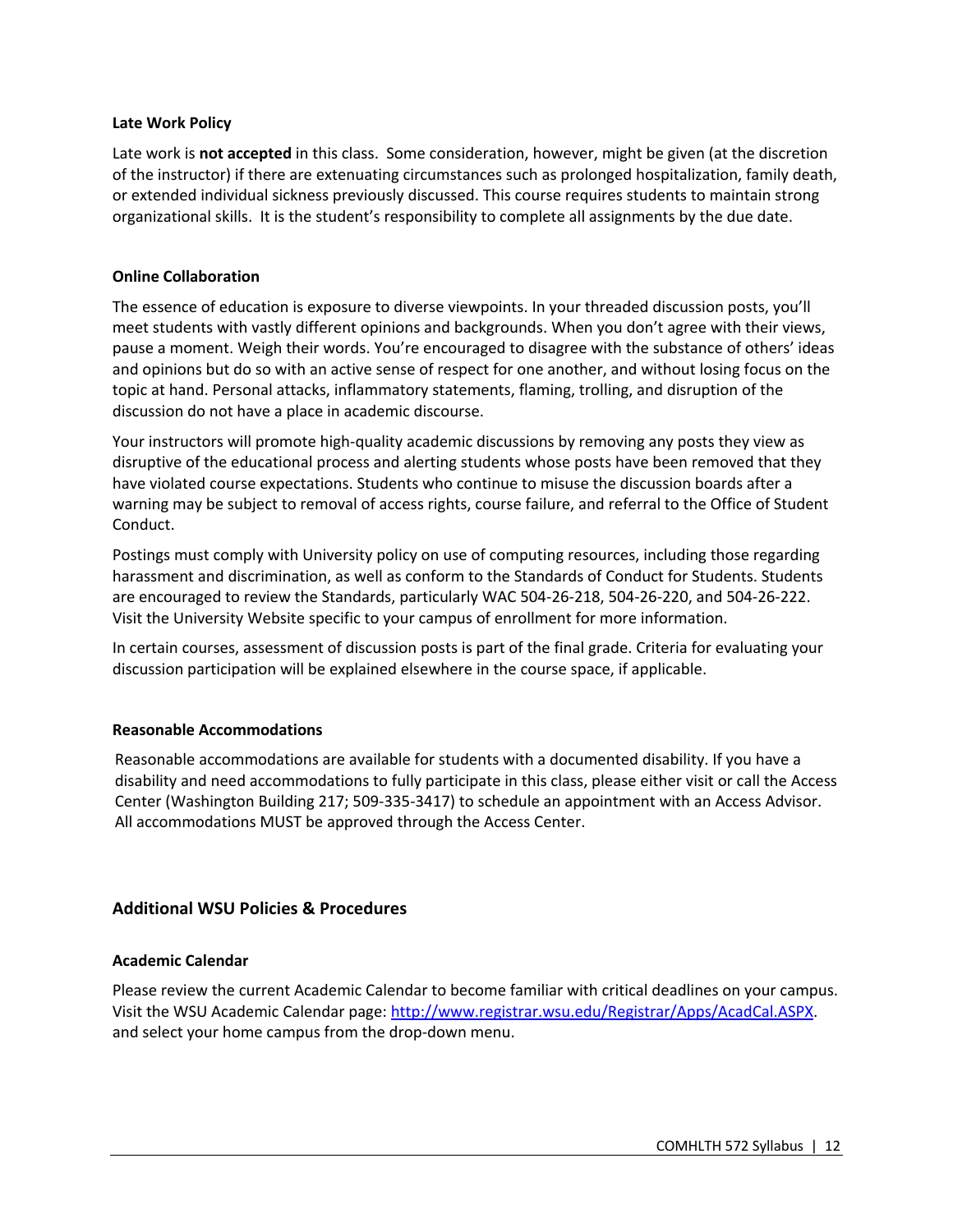## **Late Work Policy**

Late work is **not accepted** in this class.Some consideration, however, might be given (at the discretion of the instructor) if there are extenuating circumstances such as prolonged hospitalization, family death, or extended individual sickness previously discussed. This course requires students to maintain strong organizational skills. It is the student's responsibility to complete all assignments by the due date.

#### **Online Collaboration**

The essence of education is exposure to diverse viewpoints. In your threaded discussion posts, you'll meet students with vastly different opinions and backgrounds. When you don't agree with their views, pause a moment. Weigh their words. You're encouraged to disagree with the substance of others' ideas and opinions but do so with an active sense of respect for one another, and without losing focus on the topic at hand. Personal attacks, inflammatory statements, flaming, trolling, and disruption of the discussion do not have a place in academic discourse.

Your instructors will promote high-quality academic discussions by removing any posts they view as disruptive of the educational process and alerting students whose posts have been removed that they have violated course expectations. Students who continue to misuse the discussion boards after a warning may be subject to removal of access rights, course failure, and referral to the Office of Student Conduct.

Postings must comply with University policy on use of computing resources, including those regarding harassment and discrimination, as well as conform to the Standards of Conduct for Students. Students are encouraged to review the Standards, particularly WAC 504-26-218, 504-26-220, and 504-26-222. Visit the University Website specific to your campus of enrollment for more information.

In certain courses, assessment of discussion posts is part of the final grade. Criteria for evaluating your discussion participation will be explained elsewhere in the course space, if applicable.

## **Reasonable Accommodations**

Reasonable accommodations are available for students with a documented disability. If you have a disability and need accommodations to fully participate in this class, please either visit or call the Access Center (Washington Building 217; 509-335-3417) to schedule an appointment with an Access Advisor. All accommodations MUST be approved through the Access Center.

## **Additional WSU Policies & Procedures**

## **Academic Calendar**

Please review the current Academic Calendar to become familiar with critical deadlines on your campus. Visit the WSU Academic Calendar page: http://www.registrar.wsu.edu/Registrar/Apps/AcadCal.ASPX. and select your home campus from the drop-down menu.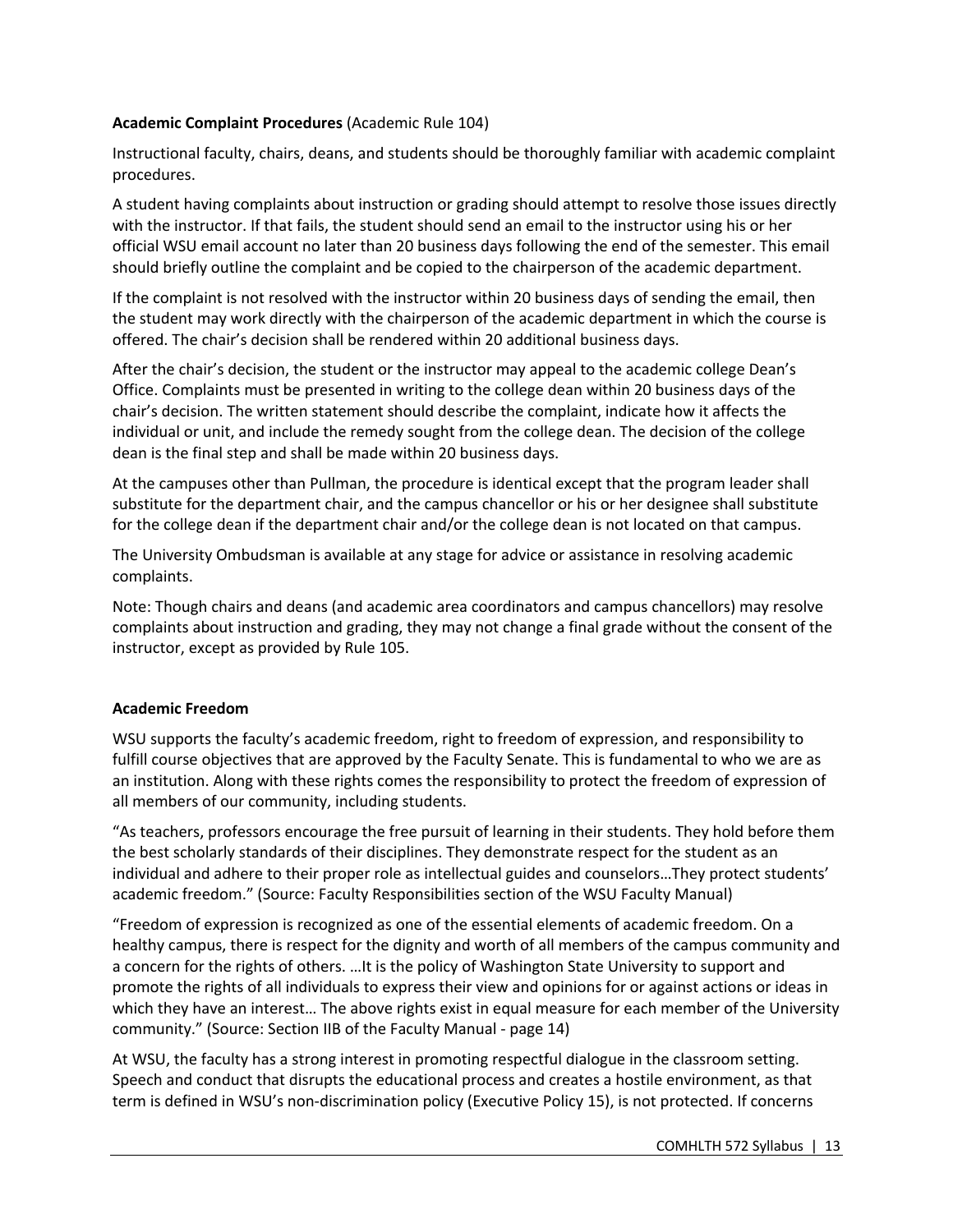## **Academic Complaint Procedures** (Academic Rule 104)

Instructional faculty, chairs, deans, and students should be thoroughly familiar with academic complaint procedures.

A student having complaints about instruction or grading should attempt to resolve those issues directly with the instructor. If that fails, the student should send an email to the instructor using his or her official WSU email account no later than 20 business days following the end of the semester. This email should briefly outline the complaint and be copied to the chairperson of the academic department.

If the complaint is not resolved with the instructor within 20 business days of sending the email, then the student may work directly with the chairperson of the academic department in which the course is offered. The chair's decision shall be rendered within 20 additional business days.

After the chair's decision, the student or the instructor may appeal to the academic college Dean's Office. Complaints must be presented in writing to the college dean within 20 business days of the chair's decision. The written statement should describe the complaint, indicate how it affects the individual or unit, and include the remedy sought from the college dean. The decision of the college dean is the final step and shall be made within 20 business days.

At the campuses other than Pullman, the procedure is identical except that the program leader shall substitute for the department chair, and the campus chancellor or his or her designee shall substitute for the college dean if the department chair and/or the college dean is not located on that campus.

The University Ombudsman is available at any stage for advice or assistance in resolving academic complaints.

Note: Though chairs and deans (and academic area coordinators and campus chancellors) may resolve complaints about instruction and grading, they may not change a final grade without the consent of the instructor, except as provided by Rule 105.

## **Academic Freedom**

WSU supports the faculty's academic freedom, right to freedom of expression, and responsibility to fulfill course objectives that are approved by the Faculty Senate. This is fundamental to who we are as an institution. Along with these rights comes the responsibility to protect the freedom of expression of all members of our community, including students.

"As teachers, professors encourage the free pursuit of learning in their students. They hold before them the best scholarly standards of their disciplines. They demonstrate respect for the student as an individual and adhere to their proper role as intellectual guides and counselors…They protect students' academic freedom." (Source: Faculty Responsibilities section of the WSU Faculty Manual)

"Freedom of expression is recognized as one of the essential elements of academic freedom. On a healthy campus, there is respect for the dignity and worth of all members of the campus community and a concern for the rights of others. …It is the policy of Washington State University to support and promote the rights of all individuals to express their view and opinions for or against actions or ideas in which they have an interest… The above rights exist in equal measure for each member of the University community." (Source: Section IIB of the Faculty Manual - page 14)

At WSU, the faculty has a strong interest in promoting respectful dialogue in the classroom setting. Speech and conduct that disrupts the educational process and creates a hostile environment, as that term is defined in WSU's non-discrimination policy (Executive Policy 15), is not protected. If concerns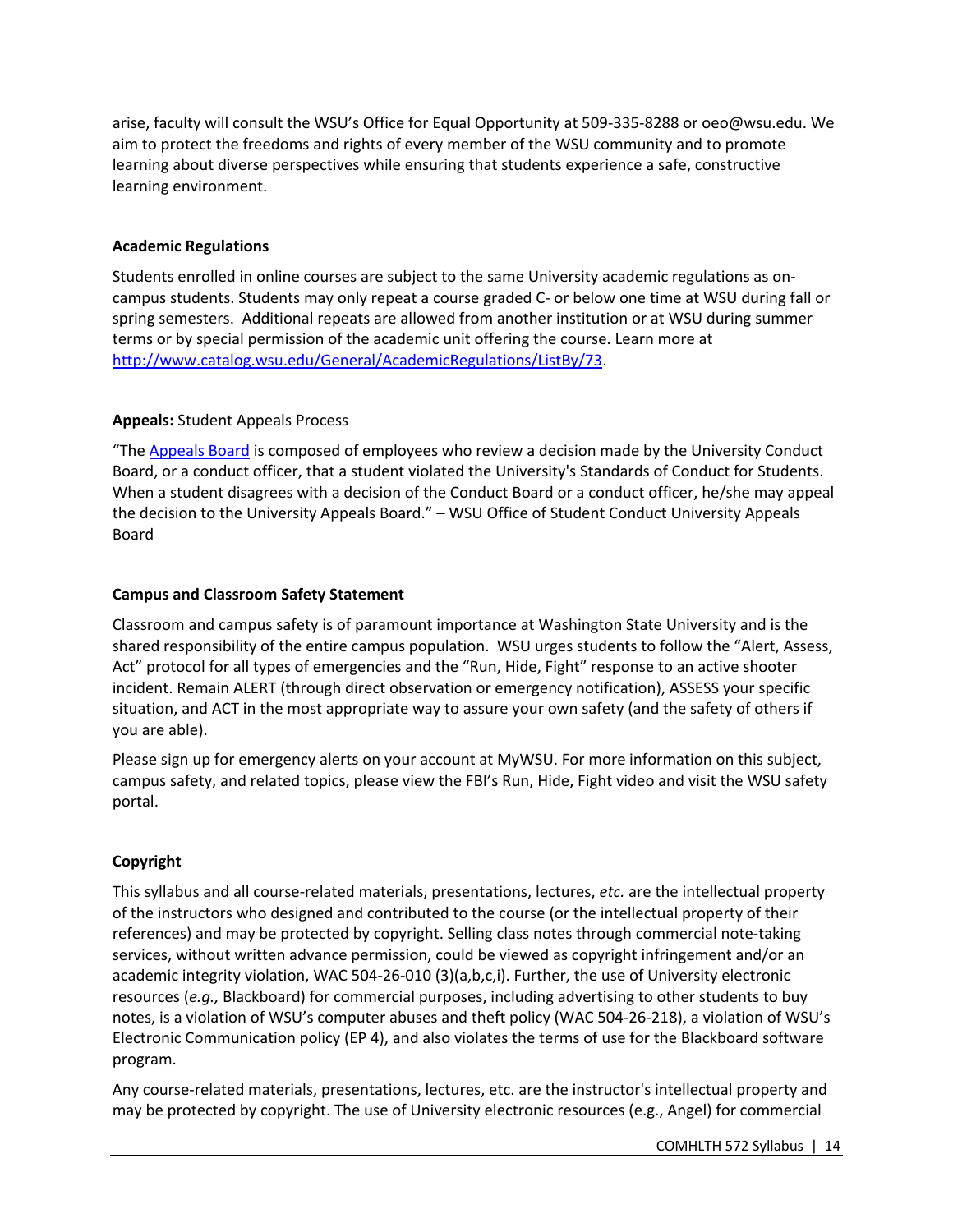arise, faculty will consult the WSU's Office for Equal Opportunity at 509-335-8288 or oeo@wsu.edu. We aim to protect the freedoms and rights of every member of the WSU community and to promote learning about diverse perspectives while ensuring that students experience a safe, constructive learning environment.

## **Academic Regulations**

Students enrolled in online courses are subject to the same University academic regulations as oncampus students. Students may only repeat a course graded C- or below one time at WSU during fall or spring semesters. Additional repeats are allowed from another institution or at WSU during summer terms or by special permission of the academic unit offering the course. Learn more at http://www.catalog.wsu.edu/General/AcademicRegulations/ListBy/73.

## **Appeals:** Student Appeals Process

"The Appeals Board is composed of employees who review a decision made by the University Conduct Board, or a conduct officer, that a student violated the University's Standards of Conduct for Students. When a student disagrees with a decision of the Conduct Board or a conduct officer, he/she may appeal the decision to the University Appeals Board." – WSU Office of Student Conduct University Appeals Board

## **Campus and Classroom Safety Statement**

Classroom and campus safety is of paramount importance at Washington State University and is the shared responsibility of the entire campus population. WSU urges students to follow the "Alert, Assess, Act" protocol for all types of emergencies and the "Run, Hide, Fight" response to an active shooter incident. Remain ALERT (through direct observation or emergency notification), ASSESS your specific situation, and ACT in the most appropriate way to assure your own safety (and the safety of others if you are able).

Please sign up for emergency alerts on your account at MyWSU. For more information on this subject, campus safety, and related topics, please view the FBI's Run, Hide, Fight video and visit the WSU safety portal.

## **Copyright**

This syllabus and all course-related materials, presentations, lectures, *etc.* are the intellectual property of the instructors who designed and contributed to the course (or the intellectual property of their references) and may be protected by copyright. Selling class notes through commercial note-taking services, without written advance permission, could be viewed as copyright infringement and/or an academic integrity violation, WAC 504-26-010 (3)(a,b,c,i). Further, the use of University electronic resources (*e.g.,* Blackboard) for commercial purposes, including advertising to other students to buy notes, is a violation of WSU's computer abuses and theft policy (WAC 504-26-218), a violation of WSU's Electronic Communication policy (EP 4), and also violates the terms of use for the Blackboard software program.

Any course-related materials, presentations, lectures, etc. are the instructor's intellectual property and may be protected by copyright. The use of University electronic resources (e.g., Angel) for commercial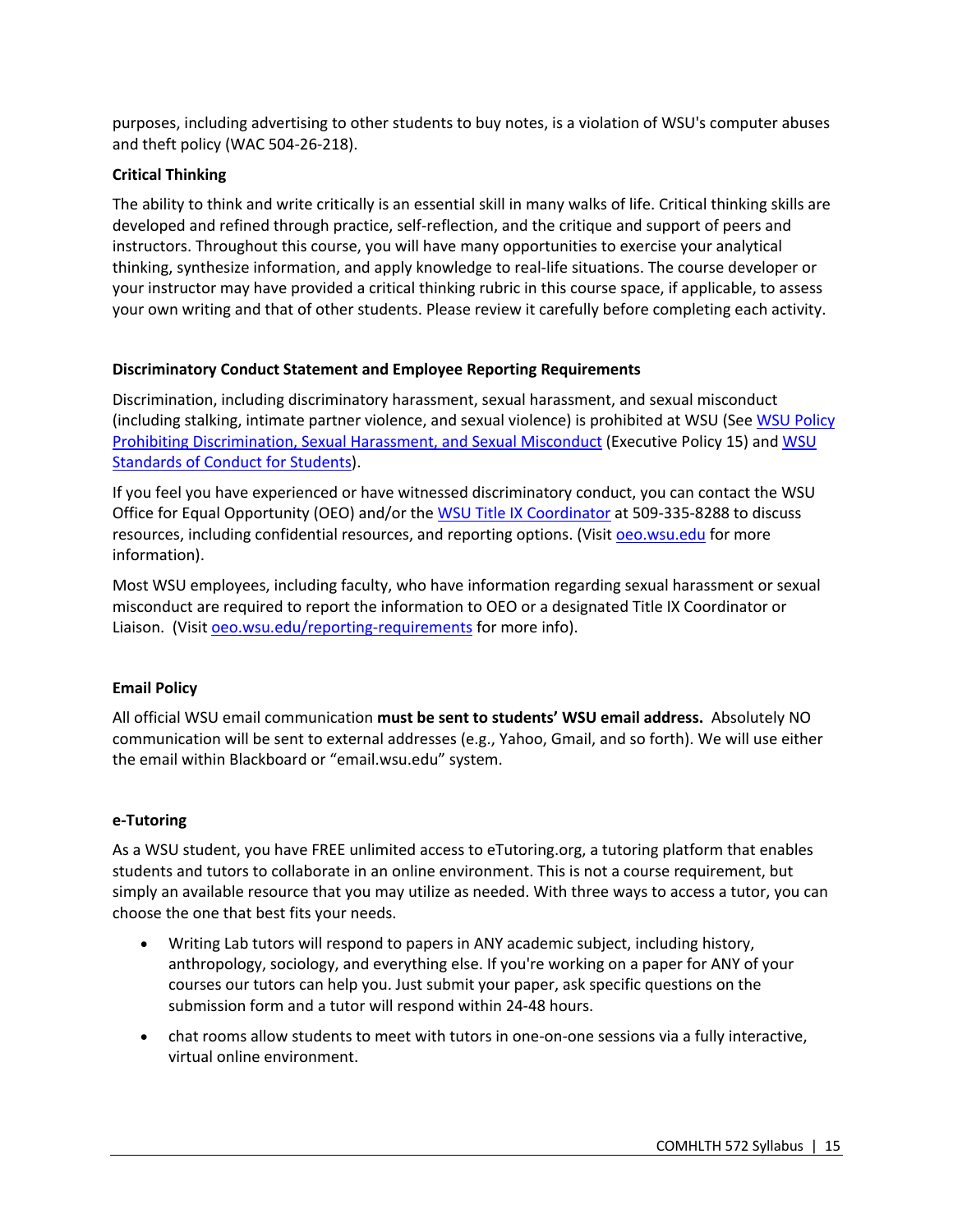purposes, including advertising to other students to buy notes, is a violation of WSU's computer abuses and theft policy (WAC 504-26-218).

## **Critical Thinking**

The ability to think and write critically is an essential skill in many walks of life. Critical thinking skills are developed and refined through practice, self-reflection, and the critique and support of peers and instructors. Throughout this course, you will have many opportunities to exercise your analytical thinking, synthesize information, and apply knowledge to real-life situations. The course developer or your instructor may have provided a critical thinking rubric in this course space, if applicable, to assess your own writing and that of other students. Please review it carefully before completing each activity.

## **Discriminatory Conduct Statement and Employee Reporting Requirements**

Discrimination, including discriminatory harassment, sexual harassment, and sexual misconduct (including stalking, intimate partner violence, and sexual violence) is prohibited at WSU (See WSU Policy Prohibiting Discrimination, Sexual Harassment, and Sexual Misconduct (Executive Policy 15) and WSU Standards of Conduct for Students).

If you feel you have experienced or have witnessed discriminatory conduct, you can contact the WSU Office for Equal Opportunity (OEO) and/or the WSU Title IX Coordinator at 509-335-8288 to discuss resources, including confidential resources, and reporting options. (Visit oeo.wsu.edu for more information).

Most WSU employees, including faculty, who have information regarding sexual harassment or sexual misconduct are required to report the information to OEO or a designated Title IX Coordinator or Liaison. (Visit oeo.wsu.edu/reporting-requirements for more info).

## **Email Policy**

All official WSU email communication **must be sent to students' WSU email address.** Absolutely NO communication will be sent to external addresses (e.g., Yahoo, Gmail, and so forth). We will use either the email within Blackboard or "email.wsu.edu" system.

## **e-Tutoring**

As a WSU student, you have FREE unlimited access to eTutoring.org, a tutoring platform that enables students and tutors to collaborate in an online environment. This is not a course requirement, but simply an available resource that you may utilize as needed. With three ways to access a tutor, you can choose the one that best fits your needs.

- Writing Lab tutors will respond to papers in ANY academic subject, including history, anthropology, sociology, and everything else. If you're working on a paper for ANY of your courses our tutors can help you. Just submit your paper, ask specific questions on the submission form and a tutor will respond within 24-48 hours.
- chat rooms allow students to meet with tutors in one-on-one sessions via a fully interactive, virtual online environment.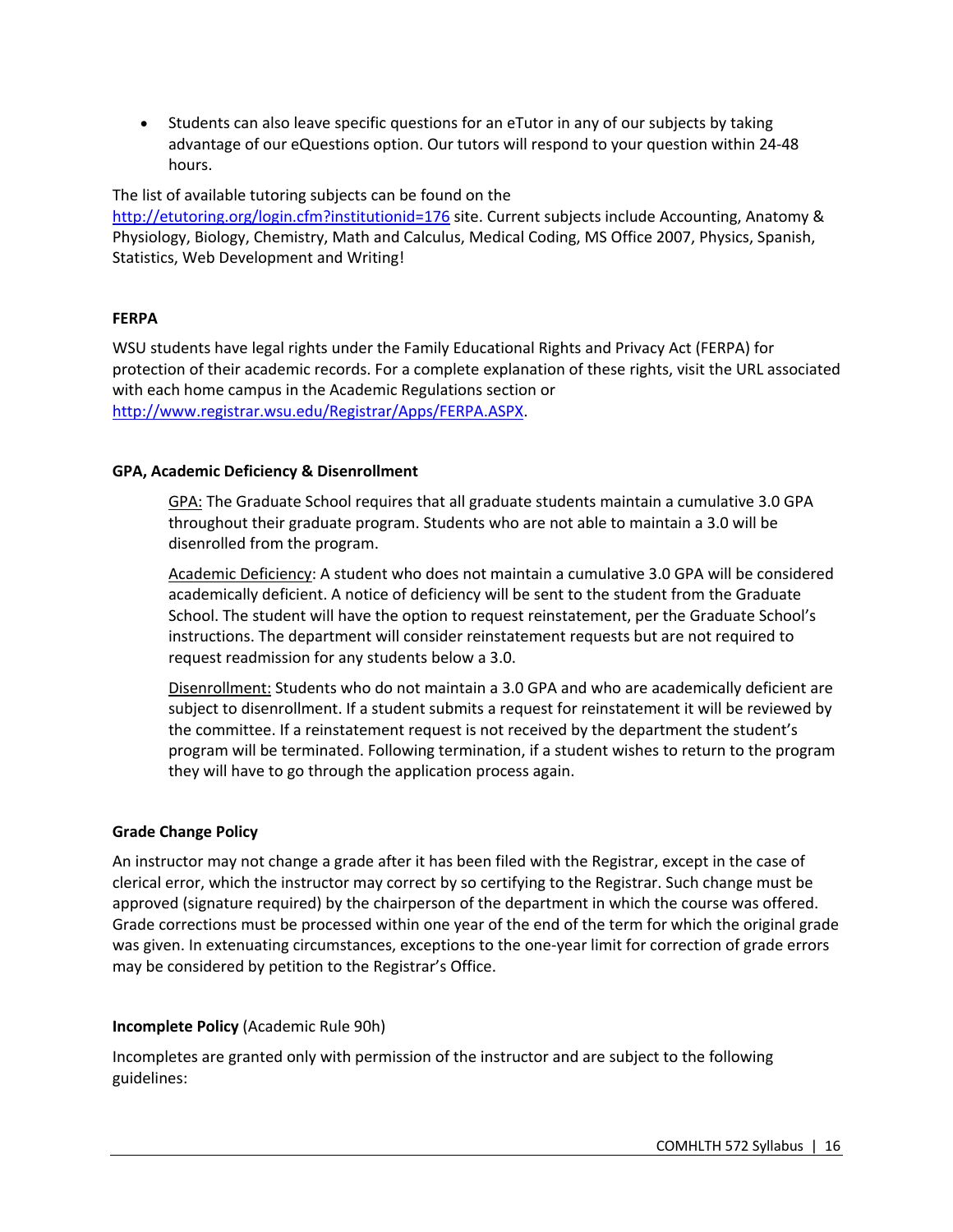• Students can also leave specific questions for an eTutor in any of our subjects by taking advantage of our eQuestions option. Our tutors will respond to your question within 24-48 hours.

The list of available tutoring subjects can be found on the http://etutoring.org/login.cfm?institutionid=176 site. Current subjects include Accounting, Anatomy & Physiology, Biology, Chemistry, Math and Calculus, Medical Coding, MS Office 2007, Physics, Spanish, Statistics, Web Development and Writing!

## **FERPA**

WSU students have legal rights under the Family Educational Rights and Privacy Act (FERPA) for protection of their academic records. For a complete explanation of these rights, visit the URL associated with each home campus in the Academic Regulations section or http://www.registrar.wsu.edu/Registrar/Apps/FERPA.ASPX.

## **GPA, Academic Deficiency & Disenrollment**

GPA: The Graduate School requires that all graduate students maintain a cumulative 3.0 GPA throughout their graduate program. Students who are not able to maintain a 3.0 will be disenrolled from the program.

Academic Deficiency: A student who does not maintain a cumulative 3.0 GPA will be considered academically deficient. A notice of deficiency will be sent to the student from the Graduate School. The student will have the option to request reinstatement, per the Graduate School's instructions. The department will consider reinstatement requests but are not required to request readmission for any students below a 3.0.

Disenrollment: Students who do not maintain a 3.0 GPA and who are academically deficient are subject to disenrollment. If a student submits a request for reinstatement it will be reviewed by the committee. If a reinstatement request is not received by the department the student's program will be terminated. Following termination, if a student wishes to return to the program they will have to go through the application process again.

## **Grade Change Policy**

An instructor may not change a grade after it has been filed with the Registrar, except in the case of clerical error, which the instructor may correct by so certifying to the Registrar. Such change must be approved (signature required) by the chairperson of the department in which the course was offered. Grade corrections must be processed within one year of the end of the term for which the original grade was given. In extenuating circumstances, exceptions to the one-year limit for correction of grade errors may be considered by petition to the Registrar's Office.

## **Incomplete Policy** (Academic Rule 90h)

Incompletes are granted only with permission of the instructor and are subject to the following guidelines: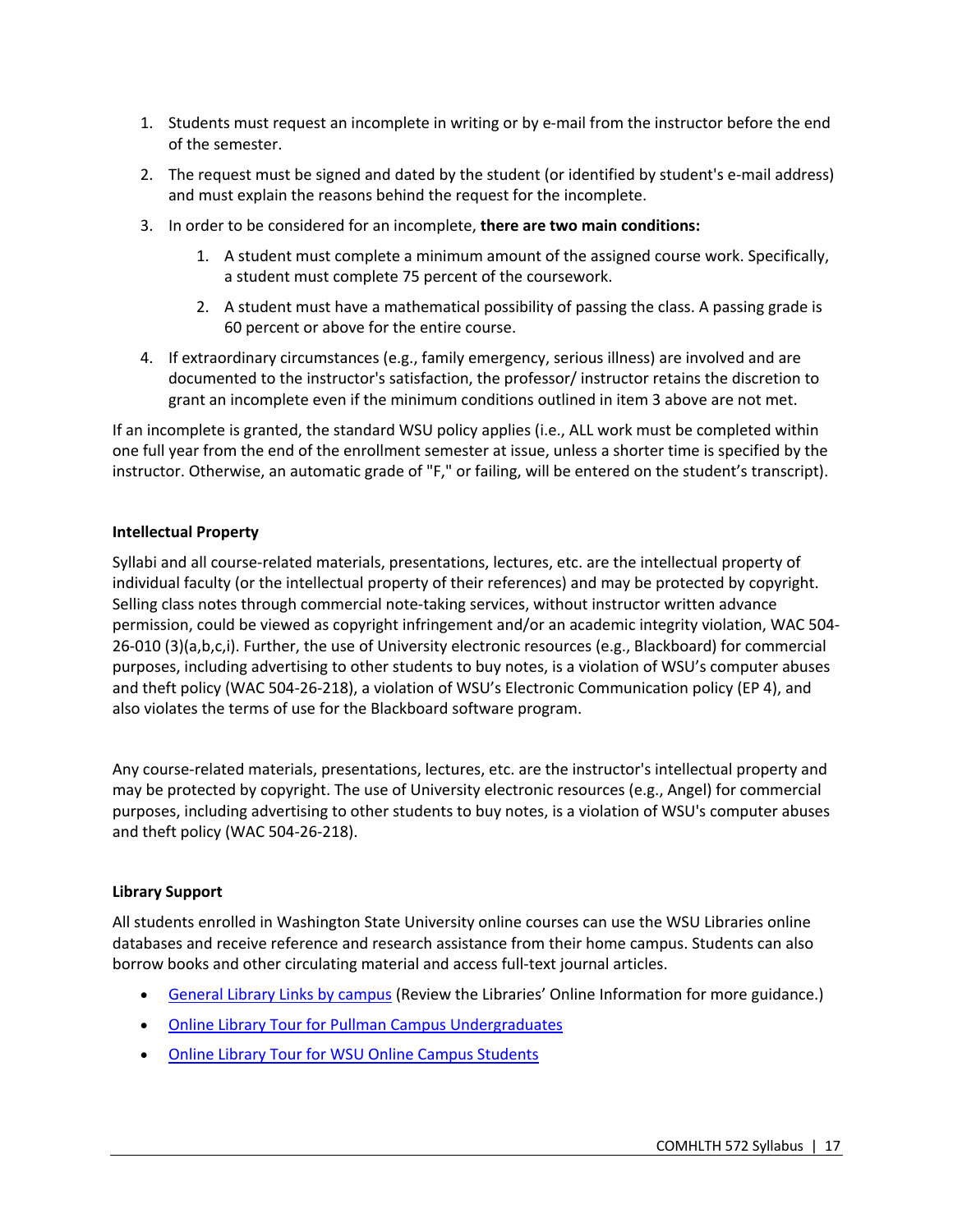- 1. Students must request an incomplete in writing or by e-mail from the instructor before the end of the semester.
- 2. The request must be signed and dated by the student (or identified by student's e-mail address) and must explain the reasons behind the request for the incomplete.
- 3. In order to be considered for an incomplete, **there are two main conditions:**
	- 1. A student must complete a minimum amount of the assigned course work. Specifically, a student must complete 75 percent of the coursework.
	- 2. A student must have a mathematical possibility of passing the class. A passing grade is 60 percent or above for the entire course.
- 4. If extraordinary circumstances (e.g., family emergency, serious illness) are involved and are documented to the instructor's satisfaction, the professor/ instructor retains the discretion to grant an incomplete even if the minimum conditions outlined in item 3 above are not met.

If an incomplete is granted, the standard WSU policy applies (i.e., ALL work must be completed within one full year from the end of the enrollment semester at issue, unless a shorter time is specified by the instructor. Otherwise, an automatic grade of "F," or failing, will be entered on the student's transcript).

## **Intellectual Property**

Syllabi and all course-related materials, presentations, lectures, etc. are the intellectual property of individual faculty (or the intellectual property of their references) and may be protected by copyright. Selling class notes through commercial note-taking services, without instructor written advance permission, could be viewed as copyright infringement and/or an academic integrity violation, WAC 504- 26-010 (3)(a,b,c,i). Further, the use of University electronic resources (e.g., Blackboard) for commercial purposes, including advertising to other students to buy notes, is a violation of WSU's computer abuses and theft policy (WAC 504-26-218), a violation of WSU's Electronic Communication policy (EP 4), and also violates the terms of use for the Blackboard software program.

Any course-related materials, presentations, lectures, etc. are the instructor's intellectual property and may be protected by copyright. The use of University electronic resources (e.g., Angel) for commercial purposes, including advertising to other students to buy notes, is a violation of WSU's computer abuses and theft policy (WAC 504-26-218).

## **Library Support**

All students enrolled in Washington State University online courses can use the WSU Libraries online databases and receive reference and research assistance from their home campus. Students can also borrow books and other circulating material and access full-text journal articles.

- General Library Links by campus (Review the Libraries' Online Information for more guidance.)
- Online Library Tour for Pullman Campus Undergraduates
- Online Library Tour for WSU Online Campus Students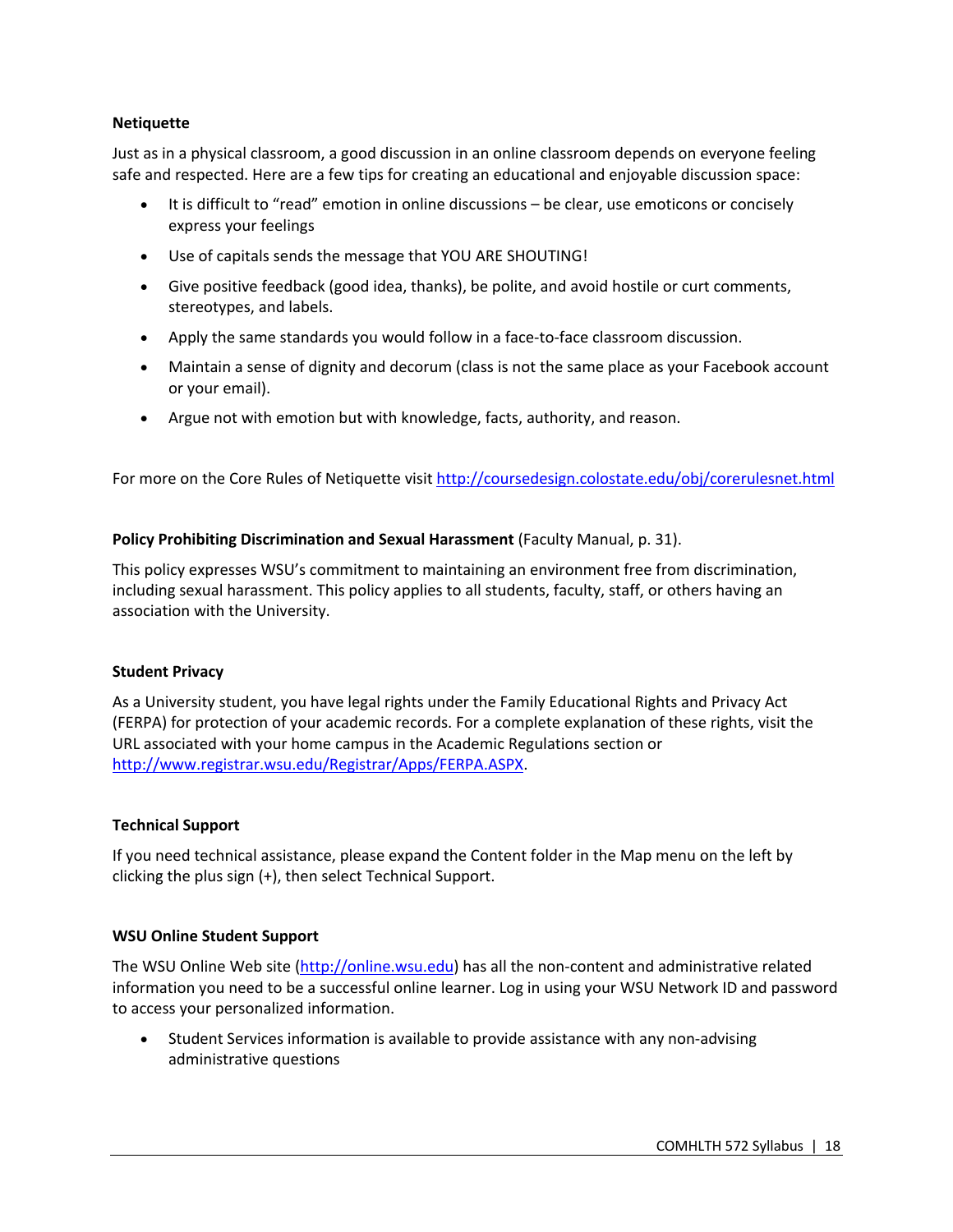## **Netiquette**

Just as in a physical classroom, a good discussion in an online classroom depends on everyone feeling safe and respected. Here are a few tips for creating an educational and enjoyable discussion space:

- It is difficult to "read" emotion in online discussions be clear, use emoticons or concisely express your feelings
- Use of capitals sends the message that YOU ARE SHOUTING!
- Give positive feedback (good idea, thanks), be polite, and avoid hostile or curt comments, stereotypes, and labels.
- Apply the same standards you would follow in a face-to-face classroom discussion.
- Maintain a sense of dignity and decorum (class is not the same place as your Facebook account or your email).
- Argue not with emotion but with knowledge, facts, authority, and reason.

For more on the Core Rules of Netiquette visit http://coursedesign.colostate.edu/obj/corerulesnet.html

## **Policy Prohibiting Discrimination and Sexual Harassment** (Faculty Manual, p. 31).

This policy expresses WSU's commitment to maintaining an environment free from discrimination, including sexual harassment. This policy applies to all students, faculty, staff, or others having an association with the University.

## **Student Privacy**

As a University student, you have legal rights under the Family Educational Rights and Privacy Act (FERPA) for protection of your academic records. For a complete explanation of these rights, visit the URL associated with your home campus in the Academic Regulations section or http://www.registrar.wsu.edu/Registrar/Apps/FERPA.ASPX.

## **Technical Support**

If you need technical assistance, please expand the Content folder in the Map menu on the left by clicking the plus sign (+), then select Technical Support.

## **WSU Online Student Support**

The WSU Online Web site (http://online.wsu.edu) has all the non-content and administrative related information you need to be a successful online learner. Log in using your WSU Network ID and password to access your personalized information.

• Student Services information is available to provide assistance with any non-advising administrative questions